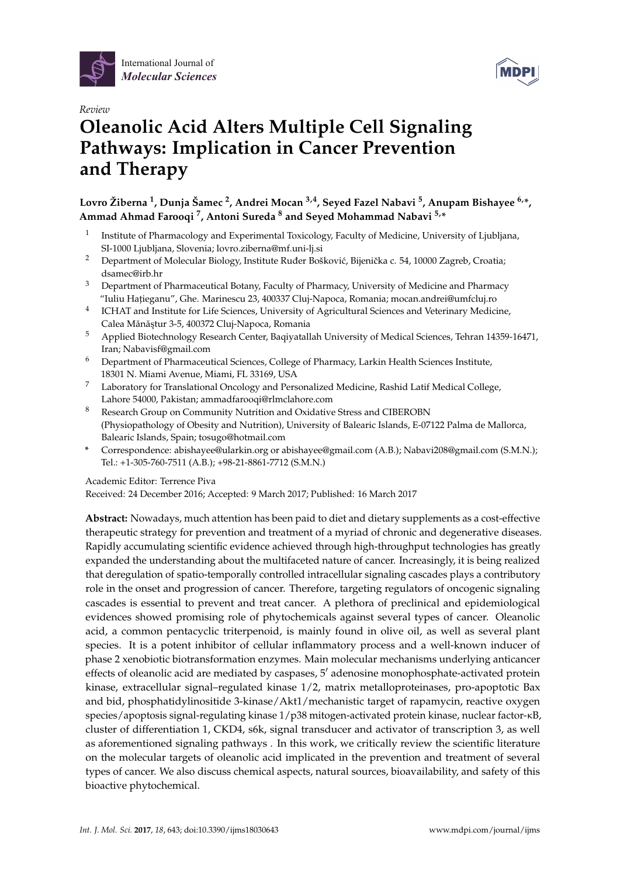



# *Review* **Oleanolic Acid Alters Multiple Cell Signaling Pathways: Implication in Cancer Prevention and Therapy**

**Lovro Žiberna <sup>1</sup> , Dunja Šamec <sup>2</sup> , Andrei Mocan 3,4, Seyed Fazel Nabavi <sup>5</sup> , Anupam Bishayee 6,\*, Ammad Ahmad Farooqi <sup>7</sup> , Antoni Sureda <sup>8</sup> and Seyed Mohammad Nabavi 5,\***

- 1 Institute of Pharmacology and Experimental Toxicology, Faculty of Medicine, University of Ljubljana, SI-1000 Ljubljana, Slovenia; lovro.ziberna@mf.uni-lj.si
- <sup>2</sup> Department of Molecular Biology, Institute Ruđer Bošković, Bijenička c. 54, 10000 Zagreb, Croatia; dsamec@irb.hr
- <sup>3</sup> Department of Pharmaceutical Botany, Faculty of Pharmacy, University of Medicine and Pharmacy "Iuliu Hat,ieganu", Ghe. Marinescu 23, 400337 Cluj-Napoca, Romania; mocan.andrei@umfcluj.ro
- 4 ICHAT and Institute for Life Sciences, University of Agricultural Sciences and Veterinary Medicine, Calea Mănăștur 3-5, 400372 Cluj-Napoca, Romania
- <sup>5</sup> Applied Biotechnology Research Center, Baqiyatallah University of Medical Sciences, Tehran 14359-16471, Iran; Nabavisf@gmail.com
- <sup>6</sup> Department of Pharmaceutical Sciences, College of Pharmacy, Larkin Health Sciences Institute, 18301 N. Miami Avenue, Miami, FL 33169, USA
- <sup>7</sup> Laboratory for Translational Oncology and Personalized Medicine, Rashid Latif Medical College, Lahore 54000, Pakistan; ammadfarooqi@rlmclahore.com
- <sup>8</sup> Research Group on Community Nutrition and Oxidative Stress and CIBEROBN (Physiopathology of Obesity and Nutrition), University of Balearic Islands, E-07122 Palma de Mallorca, Balearic Islands, Spain; tosugo@hotmail.com
- **\*** Correspondence: abishayee@ularkin.org or abishayee@gmail.com (A.B.); Nabavi208@gmail.com (S.M.N.); Tel.: +1-305-760-7511 (A.B.); +98-21-8861-7712 (S.M.N.)

Academic Editor: Terrence Piva

Received: 24 December 2016; Accepted: 9 March 2017; Published: 16 March 2017

**Abstract:** Nowadays, much attention has been paid to diet and dietary supplements as a cost-effective therapeutic strategy for prevention and treatment of a myriad of chronic and degenerative diseases. Rapidly accumulating scientific evidence achieved through high-throughput technologies has greatly expanded the understanding about the multifaceted nature of cancer. Increasingly, it is being realized that deregulation of spatio-temporally controlled intracellular signaling cascades plays a contributory role in the onset and progression of cancer. Therefore, targeting regulators of oncogenic signaling cascades is essential to prevent and treat cancer. A plethora of preclinical and epidemiological evidences showed promising role of phytochemicals against several types of cancer. Oleanolic acid, a common pentacyclic triterpenoid, is mainly found in olive oil, as well as several plant species. It is a potent inhibitor of cellular inflammatory process and a well-known inducer of phase 2 xenobiotic biotransformation enzymes. Main molecular mechanisms underlying anticancer effects of oleanolic acid are mediated by caspases,  $5'$  adenosine monophosphate-activated protein kinase, extracellular signal–regulated kinase 1/2, matrix metalloproteinases, pro-apoptotic Bax and bid, phosphatidylinositide 3-kinase/Akt1/mechanistic target of rapamycin, reactive oxygen species/apoptosis signal-regulating kinase 1/p38 mitogen-activated protein kinase, nuclear factor-κB, cluster of differentiation 1, CKD4, s6k, signal transducer and activator of transcription 3, as well as aforementioned signaling pathways . In this work, we critically review the scientific literature on the molecular targets of oleanolic acid implicated in the prevention and treatment of several types of cancer. We also discuss chemical aspects, natural sources, bioavailability, and safety of this bioactive phytochemical.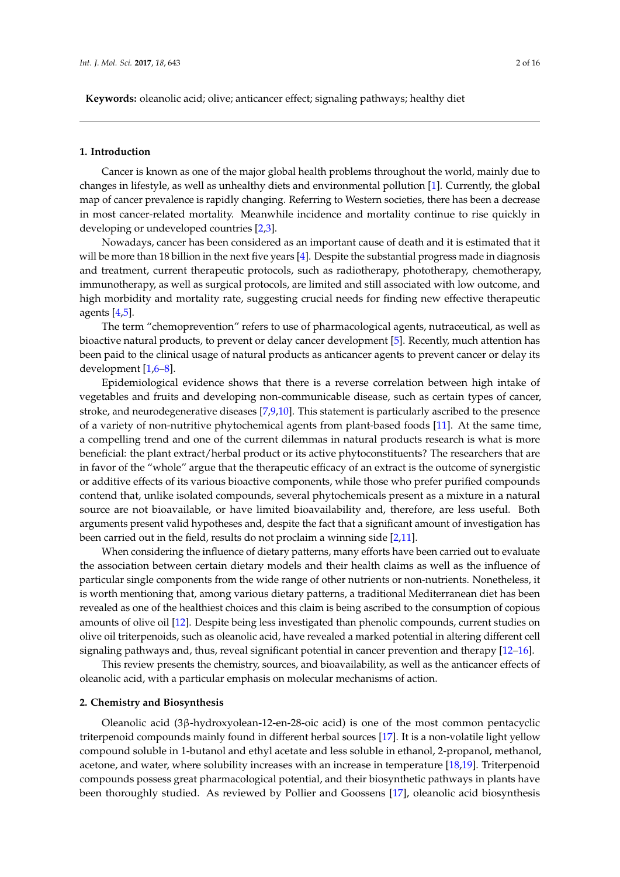**Keywords:** oleanolic acid; olive; anticancer effect; signaling pathways; healthy diet

### **1. Introduction**

Cancer is known as one of the major global health problems throughout the world, mainly due to changes in lifestyle, as well as unhealthy diets and environmental pollution [\[1\]](#page-9-0). Currently, the global map of cancer prevalence is rapidly changing. Referring to Western societies, there has been a decrease in most cancer-related mortality. Meanwhile incidence and mortality continue to rise quickly in developing or undeveloped countries [\[2](#page-9-1)[,3\]](#page-9-2).

Nowadays, cancer has been considered as an important cause of death and it is estimated that it will be more than 18 billion in the next five years [\[4\]](#page-9-3). Despite the substantial progress made in diagnosis and treatment, current therapeutic protocols, such as radiotherapy, phototherapy, chemotherapy, immunotherapy, as well as surgical protocols, are limited and still associated with low outcome, and high morbidity and mortality rate, suggesting crucial needs for finding new effective therapeutic agents [\[4](#page-9-3)[,5\]](#page-9-4).

The term "chemoprevention" refers to use of pharmacological agents, nutraceutical, as well as bioactive natural products, to prevent or delay cancer development [\[5\]](#page-9-4). Recently, much attention has been paid to the clinical usage of natural products as anticancer agents to prevent cancer or delay its development [\[1,](#page-9-0)[6–](#page-9-5)[8\]](#page-9-6).

Epidemiological evidence shows that there is a reverse correlation between high intake of vegetables and fruits and developing non-communicable disease, such as certain types of cancer, stroke, and neurodegenerative diseases [\[7](#page-9-7)[,9](#page-9-8)[,10\]](#page-9-9). This statement is particularly ascribed to the presence of a variety of non-nutritive phytochemical agents from plant-based foods [\[11\]](#page-9-10). At the same time, a compelling trend and one of the current dilemmas in natural products research is what is more beneficial: the plant extract/herbal product or its active phytoconstituents? The researchers that are in favor of the "whole" argue that the therapeutic efficacy of an extract is the outcome of synergistic or additive effects of its various bioactive components, while those who prefer purified compounds contend that, unlike isolated compounds, several phytochemicals present as a mixture in a natural source are not bioavailable, or have limited bioavailability and, therefore, are less useful. Both arguments present valid hypotheses and, despite the fact that a significant amount of investigation has been carried out in the field, results do not proclaim a winning side [\[2](#page-9-1)[,11\]](#page-9-10).

When considering the influence of dietary patterns, many efforts have been carried out to evaluate the association between certain dietary models and their health claims as well as the influence of particular single components from the wide range of other nutrients or non-nutrients. Nonetheless, it is worth mentioning that, among various dietary patterns, a traditional Mediterranean diet has been revealed as one of the healthiest choices and this claim is being ascribed to the consumption of copious amounts of olive oil [\[12\]](#page-9-11). Despite being less investigated than phenolic compounds, current studies on olive oil triterpenoids, such as oleanolic acid, have revealed a marked potential in altering different cell signaling pathways and, thus, reveal significant potential in cancer prevention and therapy [\[12–](#page-9-11)[16\]](#page-9-12).

This review presents the chemistry, sources, and bioavailability, as well as the anticancer effects of oleanolic acid, with a particular emphasis on molecular mechanisms of action.

#### **2. Chemistry and Biosynthesis**

Oleanolic acid (3β-hydroxyolean-12-en-28-oic acid) is one of the most common pentacyclic triterpenoid compounds mainly found in different herbal sources [\[17\]](#page-9-13). It is a non-volatile light yellow compound soluble in 1-butanol and ethyl acetate and less soluble in ethanol, 2-propanol, methanol, acetone, and water, where solubility increases with an increase in temperature [\[18](#page-9-14)[,19\]](#page-9-15). Triterpenoid compounds possess great pharmacological potential, and their biosynthetic pathways in plants have been thoroughly studied. As reviewed by Pollier and Goossens [\[17\]](#page-9-13), oleanolic acid biosynthesis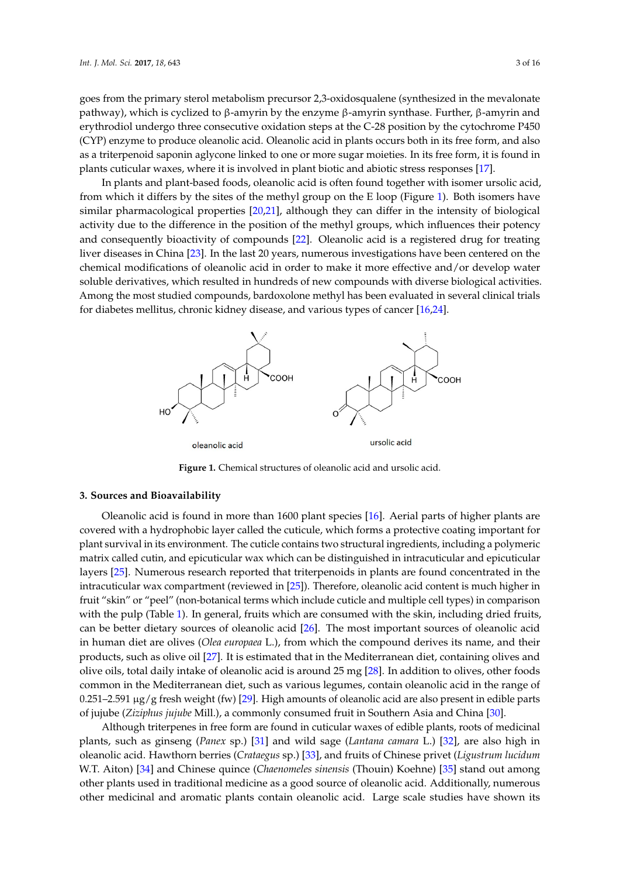goes from the primary sterol metabolism precursor 2,3-oxidosqualene (synthesized in the mevalonate pathway), which is cyclized to β-amyrin by the enzyme β-amyrin synthase. Further, β-amyrin and erythrodiol undergo three consecutive oxidation steps at the C-28 position by the cytochrome P450 erythrodiol undergo three consecutive oxidation steps at the C-28 position by the cytochrome P450 (CYP) enzyme to produce oleanolic acid. Oleanolic acid in plants occurs both in its free form, and also as a triterpenoid saponin aglycone linked to one or more sugar moieties. In its free form, it is found in plants cuticular waxes, where it is involved in plant biotic and abiotic stress responses [\[17\]](#page-9-13).  $\,$ 

In plants and plant-based foods, oleanolic acid is often found together with isomer ursolic acid, In plants and plant-based foods, oleanolic acid is often found together with isomer ursolic acid, from which it differs by the sites of the methyl group on the E loop (Figure [1\)](#page-2-0). Both isomers have from which it differs by the sites of the methyl group on the E loop (Figure 1). Both isomers have similar pharmacological properties [\[20,](#page-9-16)[21\]](#page-9-17), although they can differ in the intensity of biological similar pharmacological properties [20,21], although they can differ in the intensity of biological activity due to the difference in the position of the methyl groups, which influences their potency activity due to the difference in the position of the methyl groups, which influences their potency and and consequently bioactivity of compounds [\[22\]](#page-10-0). Oleanolic acid is a registered drug for treating liver diseases in China [\[23\]](#page-10-1). In the last 20 years, numerous investigations have been centered on the diseases in China [23]. In the last 20 years, numerous investigations have been centered on the chemical modifications of oleanolic acid in order to make it more effective and/or develop water chemical modifications of oleanolic acid in order to make it more effective and/or develop water soluble derivatives, which resulted in hundreds of new compounds with diverse biological activities. soluble derivatives, which resulted in hundreds of new compounds with diverse biological activities. Among the most studied compounds, bardoxolone methyl has been evaluated in several clinical trials Among the most studied compounds, bardoxolone methyl has been evaluated in several clinical trials for diabetes mellitus, chronic kidney disease, and various types of cancer [\[16,](#page-9-12)[24\]](#page-10-2). for diabetes mellitus, chronic kidney disease, and various types of cancer [16,24].

<span id="page-2-0"></span>

**Figure 1.** Chemical structures of oleanolic acid and ursolic acid. **Figure 1.** Chemical structures of oleanolic acid and ursolic acid.

## **3. Sources and Bioavailability 3. Sources and Bioavailability**

Oleanolic acid is found in more than 1600 plant species [16]. Aerial parts of higher plants are covered with a hydrophobic layer called the cuticule, which forms a protective coating important for plant survival in its environment. The cuticle contains two structural ingredients, including a matrix called cutin, and epicuticular wax which can be distinguished in intracuticular and epicuticular layers [25]. Numerous research reported that triterpenoids in plants are found concentrated in the intracuticular wax compartment (reviewed in  $[25]$ ). Therefore, oleanolic acid content is much higher in fruit "skin" or "peel" (non-botanical terms which include cuticle and multiple cell types) in comparison with the pulp (Table 1). In general, fruits which are consumed with the skin, including dried fruits, can be better dietary sources of oleanolic acid  $[26]$ . The most important sources of oleanolic acid in human diet are olives (*Olea europaea* L.), from which the compound derives its name, and their products, such as olive oil  $[27]$ . It is estimated that in the Mediterranean diet, containing olives and olive oils, total daily intake of oleanolic acid is around  $25 \text{ mg}$  [ $28$ ]. In addition to olives, other foods common in the Mediterranean diet, such as various legumes, contain oleanolic acid in the range of  $0.251-2.591 \mu g/g$  fresh weight (fw) [29]. High amounts of oleanolic acid are also present in edible parts parts of jujube (*Ziziphus jujube* Mill.), a commonly consumed fruit in Southern Asia and China [30]. Oleanolic acid is found in more than 1600 plant species [\[16\]](#page-9-12). Aerial parts of higher plants are covered with a hydrophobic layer called the cuticule, which forms a protective coating important for plant survival in its env can be better dietary sources of oleanolic acid [\[26\]](#page-10-4). The most important sources of oleanolic acid<br>in human diet are olives (*Olea europaea* L.), from which the compound derives its name, and their<br>products, such as olive

Although triterpenes in free form are found in cuticular waxes of edible plants, roots of medicinal plants, such as ginseng (*Panex* sp.) [31] and wild sage (*Lantana camara* L.) [32], are also high in beanolic acid. Hawthorn berries (*Crataegus* sp.) [33], and fruits of Chinese privet (*Ligustrum lucidum metalum* W.T. Aiton) [34] and Chi[nes](#page-10-12)e quince *(Chaenomeles sinensis (Thouin) Koehne*) [35] stand o[ut a](#page-10-13)mong other plants used in traditional medicine as a good source of oleanolic acid. Additionally, numerous other medicinal and aromatic plants contain oleanolic acid. Large scale studies have shown its Although triterpenes in free form are found in cuticular waxes of edible plants, roots of medicinal plants, such as ginseng (*Panex* sp.) [31] and wild sage (*Lantana camara* L.) [32], are also high in oleanolic acid. Hawt W.T. Aiton) [34] and Chinese quince (Chaenomeles sinensis (Thouin) Koehne) [35] stand out among<br>other plants used in traditional medicine as a good source of oleanolic acid. Additionally, numerous<br>other medicinal and aroma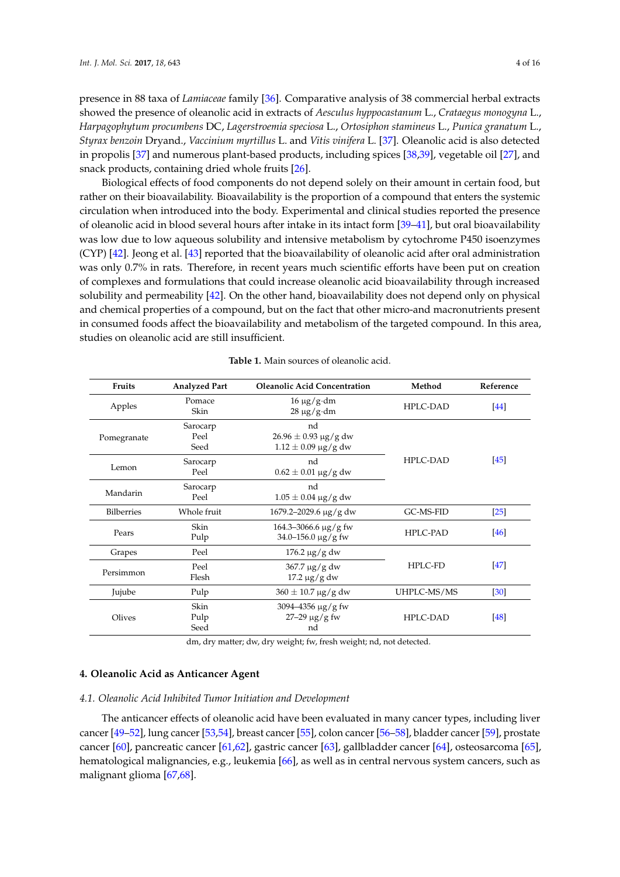presence in 88 taxa of *Lamiaceae* family [\[36\]](#page-10-14). Comparative analysis of 38 commercial herbal extracts showed the presence of oleanolic acid in extracts of *Aesculus hyppocastanum* L., *Crataegus monogyna* L., *Harpagophytum procumbens* DC, *Lagerstroemia speciosa* L., *Ortosiphon stamineus* L., *Punica granatum* L., *Styrax benzoin* Dryand., *Vaccinium myrtillus* L. and *Vitis vinifera* L. [\[37\]](#page-10-15). Oleanolic acid is also detected in propolis [\[37\]](#page-10-15) and numerous plant-based products, including spices [\[38](#page-10-16)[,39\]](#page-10-17), vegetable oil [\[27\]](#page-10-5), and snack products, containing dried whole fruits [\[26\]](#page-10-4).

Biological effects of food components do not depend solely on their amount in certain food, but rather on their bioavailability. Bioavailability is the proportion of a compound that enters the systemic circulation when introduced into the body. Experimental and clinical studies reported the presence of oleanolic acid in blood several hours after intake in its intact form [\[39–](#page-10-17)[41\]](#page-11-0), but oral bioavailability was low due to low aqueous solubility and intensive metabolism by cytochrome P450 isoenzymes (CYP) [\[42\]](#page-11-1). Jeong et al. [\[43\]](#page-11-2) reported that the bioavailability of oleanolic acid after oral administration was only 0.7% in rats. Therefore, in recent years much scientific efforts have been put on creation of complexes and formulations that could increase oleanolic acid bioavailability through increased solubility and permeability [\[42\]](#page-11-1). On the other hand, bioavailability does not depend only on physical and chemical properties of a compound, but on the fact that other micro-and macronutrients present in consumed foods affect the bioavailability and metabolism of the targeted compound. In this area, studies on oleanolic acid are still insufficient.

<span id="page-3-0"></span>

| Fruits            | <b>Analyzed Part</b>     | <b>Oleanolic Acid Concentration</b>                                 | Method          | Reference         |
|-------------------|--------------------------|---------------------------------------------------------------------|-----------------|-------------------|
| Apples            | Pomace<br>Skin           | $16 \mu g/g \cdot dm$<br>$28 \mu g / g \cdot dm$                    | <b>HPLC-DAD</b> | [44]              |
| Pomegranate       | Sarocarp<br>Peel<br>Seed | nd<br>$26.96 \pm 0.93 \,\mu g/g$ dw<br>$1.12 \pm 0.09 \,\mu g/g$ dw | <b>HPLC-DAD</b> | [45]              |
| Lemon             | Sarocarp<br>Peel         | nd<br>$0.62 \pm 0.01 \,\mu g/g$ dw                                  |                 |                   |
| Mandarin          | Sarocarp<br>Peel         | nd<br>$1.05 \pm 0.04 \,\mu g/g$ dw                                  |                 |                   |
| <b>Bilberries</b> | Whole fruit              | 1679.2-2029.6 μg/g dw                                               | GC-MS-FID       | $\left[25\right]$ |
| Pears             | Skin<br>Pulp             | $164.3 - 3066.6 \,\mu g / g$ fw<br>$34.0 - 156.0 \,\mu g/g$ fw      | <b>HPLC-PAD</b> | $[46]$            |
| Grapes            | Peel                     | $176.2 \,\mu g/g$ dw                                                |                 |                   |
| Persimmon         | Peel<br>Flesh            | $367.7 \,\mathrm{\upmu g/g}$ dw<br>$17.2 \mu g/g dw$                | HPLC-FD         | [47]              |
| Jujube            | Pulp                     | $360 \pm 10.7 \,\mathrm{\upmu g/g}$ dw                              | UHPLC-MS/MS     | [30]              |
| Olives            | Skin<br>Pulp<br>Seed     | $3094 - 4356 \mu g/g$ fw<br>$27 - 29 \,\mu g / g$ fw<br>nd          | <b>HPLC-DAD</b> | [48]              |

dm, dry matter; dw, dry weight; fw, fresh weight; nd, not detected.

# **4. Oleanolic Acid as Anticancer Agent**

## *4.1. Oleanolic Acid Inhibited Tumor Initiation and Development*

The anticancer effects of oleanolic acid have been evaluated in many cancer types, including liver cancer [\[49–](#page-11-8)[52\]](#page-11-9), lung cancer [\[53,](#page-11-10)[54\]](#page-11-11), breast cancer [\[55\]](#page-11-12), colon cancer [\[56–](#page-11-13)[58\]](#page-11-14), bladder cancer [\[59\]](#page-11-15), prostate cancer [\[60\]](#page-12-0), pancreatic cancer [\[61](#page-12-1)[,62\]](#page-12-2), gastric cancer [\[63\]](#page-12-3), gallbladder cancer [\[64\]](#page-12-4), osteosarcoma [\[65\]](#page-12-5), hematological malignancies, e.g., leukemia [\[66\]](#page-12-6), as well as in central nervous system cancers, such as malignant glioma [\[67](#page-12-7)[,68\]](#page-12-8).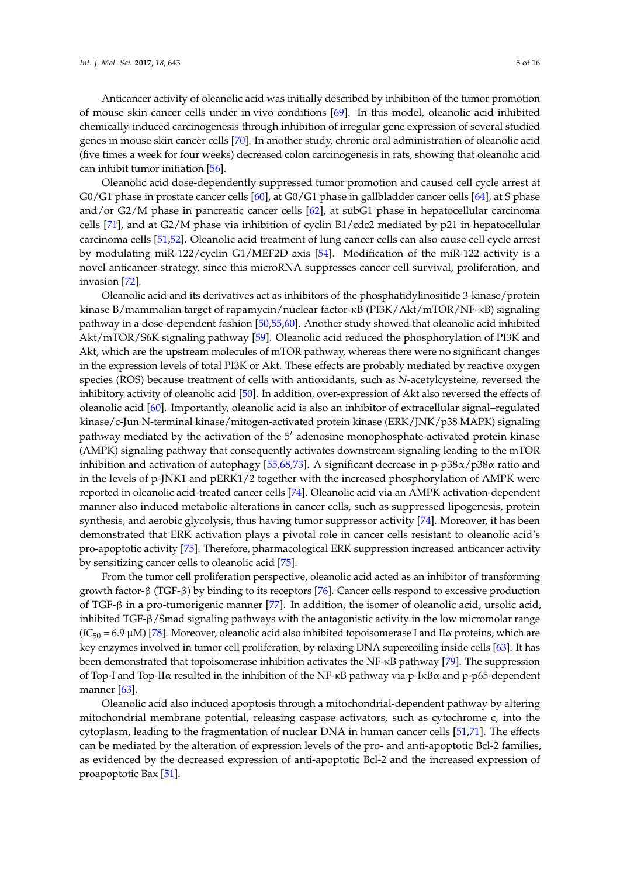Anticancer activity of oleanolic acid was initially described by inhibition of the tumor promotion of mouse skin cancer cells under in vivo conditions [\[69\]](#page-12-9). In this model, oleanolic acid inhibited chemically-induced carcinogenesis through inhibition of irregular gene expression of several studied genes in mouse skin cancer cells [\[70\]](#page-12-10). In another study, chronic oral administration of oleanolic acid (five times a week for four weeks) decreased colon carcinogenesis in rats, showing that oleanolic acid can inhibit tumor initiation [\[56\]](#page-11-13).

Oleanolic acid dose-dependently suppressed tumor promotion and caused cell cycle arrest at G0/G1 phase in prostate cancer cells [\[60\]](#page-12-0), at G0/G1 phase in gallbladder cancer cells [\[64\]](#page-12-4), at S phase and/or G2/M phase in pancreatic cancer cells [\[62\]](#page-12-2), at subG1 phase in hepatocellular carcinoma cells [\[71\]](#page-12-11), and at G2/M phase via inhibition of cyclin B1/cdc2 mediated by p21 in hepatocellular carcinoma cells [\[51,](#page-11-16)[52\]](#page-11-9). Oleanolic acid treatment of lung cancer cells can also cause cell cycle arrest by modulating miR-122/cyclin G1/MEF2D axis [\[54\]](#page-11-11). Modification of the miR-122 activity is a novel anticancer strategy, since this microRNA suppresses cancer cell survival, proliferation, and invasion [\[72\]](#page-12-12).

Oleanolic acid and its derivatives act as inhibitors of the phosphatidylinositide 3-kinase/protein kinase B/mammalian target of rapamycin/nuclear factor-κB (PI3K/Akt/mTOR/NF-κB) signaling pathway in a dose-dependent fashion [\[50,](#page-11-17)[55,](#page-11-12)[60\]](#page-12-0). Another study showed that oleanolic acid inhibited Akt/mTOR/S6K signaling pathway [\[59\]](#page-11-15). Oleanolic acid reduced the phosphorylation of PI3K and Akt, which are the upstream molecules of mTOR pathway, whereas there were no significant changes in the expression levels of total PI3K or Akt. These effects are probably mediated by reactive oxygen species (ROS) because treatment of cells with antioxidants, such as *N*-acetylcysteine, reversed the inhibitory activity of oleanolic acid [\[50\]](#page-11-17). In addition, over-expression of Akt also reversed the effects of oleanolic acid [\[60\]](#page-12-0). Importantly, oleanolic acid is also an inhibitor of extracellular signal–regulated kinase/c-Jun N-terminal kinase/mitogen-activated protein kinase (ERK/JNK/p38 MAPK) signaling pathway mediated by the activation of the  $5'$  adenosine monophosphate-activated protein kinase (AMPK) signaling pathway that consequently activates downstream signaling leading to the mTOR inhibition and activation of autophagy [\[55](#page-11-12)[,68](#page-12-8)[,73\]](#page-12-13). A significant decrease in p-p38 $\alpha$ /p38 $\alpha$  ratio and in the levels of p-JNK1 and pERK1/2 together with the increased phosphorylation of AMPK were reported in oleanolic acid-treated cancer cells [\[74\]](#page-12-14). Oleanolic acid via an AMPK activation-dependent manner also induced metabolic alterations in cancer cells, such as suppressed lipogenesis, protein synthesis, and aerobic glycolysis, thus having tumor suppressor activity [\[74\]](#page-12-14). Moreover, it has been demonstrated that ERK activation plays a pivotal role in cancer cells resistant to oleanolic acid's pro-apoptotic activity [\[75\]](#page-12-15). Therefore, pharmacological ERK suppression increased anticancer activity by sensitizing cancer cells to oleanolic acid [\[75\]](#page-12-15).

From the tumor cell proliferation perspective, oleanolic acid acted as an inhibitor of transforming growth factor-β (TGF-β) by binding to its receptors [\[76\]](#page-12-16). Cancer cells respond to excessive production of TGF-β in a pro-tumorigenic manner [\[77\]](#page-12-17). In addition, the isomer of oleanolic acid, ursolic acid, inhibited TGF-β/Smad signaling pathways with the antagonistic activity in the low micromolar range  $(IC_{50} = 6.9 \,\mu\text{M})$  [\[78\]](#page-12-18). Moreover, oleanolic acid also inhibited topoisomerase I and II $\alpha$  proteins, which are key enzymes involved in tumor cell proliferation, by relaxing DNA supercoiling inside cells [\[63\]](#page-12-3). It has been demonstrated that topoisomerase inhibition activates the NF-κB pathway [\[79\]](#page-12-19). The suppression of Top-I and Top-IIα resulted in the inhibition of the NF-κB pathway via p-IκBα and p-p65-dependent manner [\[63\]](#page-12-3).

Oleanolic acid also induced apoptosis through a mitochondrial-dependent pathway by altering mitochondrial membrane potential, releasing caspase activators, such as cytochrome c, into the cytoplasm, leading to the fragmentation of nuclear DNA in human cancer cells [\[51](#page-11-16)[,71\]](#page-12-11). The effects can be mediated by the alteration of expression levels of the pro- and anti-apoptotic Bcl-2 families, as evidenced by the decreased expression of anti-apoptotic Bcl-2 and the increased expression of proapoptotic Bax [\[51\]](#page-11-16).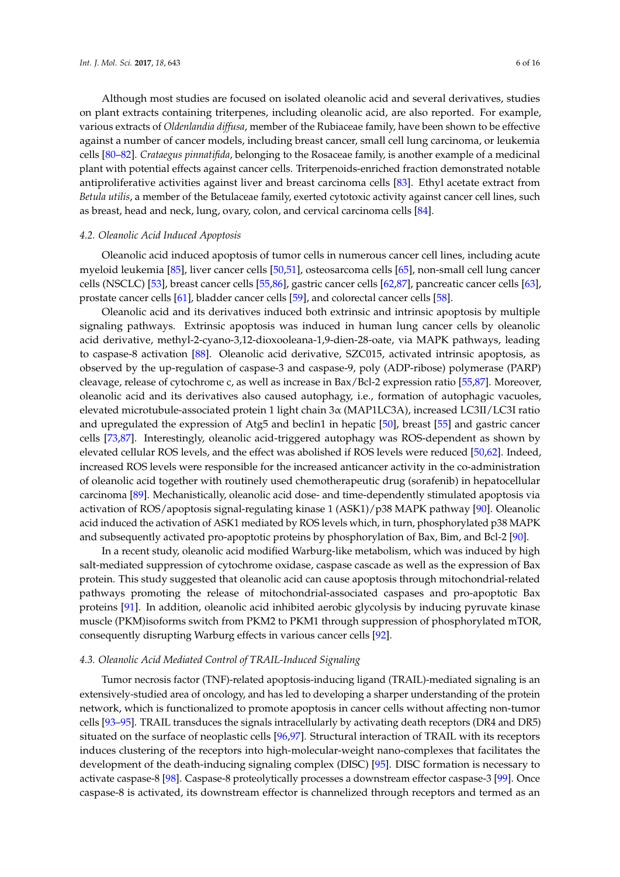Although most studies are focused on isolated oleanolic acid and several derivatives, studies on plant extracts containing triterpenes, including oleanolic acid, are also reported. For example, various extracts of *Oldenlandia diffusa*, member of the Rubiaceae family, have been shown to be effective against a number of cancer models, including breast cancer, small cell lung carcinoma, or leukemia cells [\[80](#page-13-0)[–82\]](#page-13-1). *Crataegus pinnatifida*, belonging to the Rosaceae family, is another example of a medicinal plant with potential effects against cancer cells. Triterpenoids-enriched fraction demonstrated notable antiproliferative activities against liver and breast carcinoma cells [\[83\]](#page-13-2). Ethyl acetate extract from *Betula utilis*, a member of the Betulaceae family, exerted cytotoxic activity against cancer cell lines, such as breast, head and neck, lung, ovary, colon, and cervical carcinoma cells [\[84\]](#page-13-3).

#### *4.2. Oleanolic Acid Induced Apoptosis*

Oleanolic acid induced apoptosis of tumor cells in numerous cancer cell lines, including acute myeloid leukemia [\[85\]](#page-13-4), liver cancer cells [\[50,](#page-11-17)[51\]](#page-11-16), osteosarcoma cells [\[65\]](#page-12-5), non-small cell lung cancer cells (NSCLC) [\[53\]](#page-11-10), breast cancer cells [\[55,](#page-11-12)[86\]](#page-13-5), gastric cancer cells [\[62,](#page-12-2)[87\]](#page-13-6), pancreatic cancer cells [\[63\]](#page-12-3), prostate cancer cells [\[61\]](#page-12-1), bladder cancer cells [\[59\]](#page-11-15), and colorectal cancer cells [\[58\]](#page-11-14).

Oleanolic acid and its derivatives induced both extrinsic and intrinsic apoptosis by multiple signaling pathways. Extrinsic apoptosis was induced in human lung cancer cells by oleanolic acid derivative, methyl-2-cyano-3,12-dioxooleana-1,9-dien-28-oate, via MAPK pathways, leading to caspase-8 activation [\[88\]](#page-13-7). Oleanolic acid derivative, SZC015, activated intrinsic apoptosis, as observed by the up-regulation of caspase-3 and caspase-9, poly (ADP-ribose) polymerase (PARP) cleavage, release of cytochrome c, as well as increase in Bax/Bcl-2 expression ratio [\[55,](#page-11-12)[87\]](#page-13-6). Moreover, oleanolic acid and its derivatives also caused autophagy, i.e., formation of autophagic vacuoles, elevated microtubule-associated protein 1 light chain 3α (MAP1LC3A), increased LC3II/LC3I ratio and upregulated the expression of Atg5 and beclin1 in hepatic [\[50\]](#page-11-17), breast [\[55\]](#page-11-12) and gastric cancer cells [\[73,](#page-12-13)[87\]](#page-13-6). Interestingly, oleanolic acid-triggered autophagy was ROS-dependent as shown by elevated cellular ROS levels, and the effect was abolished if ROS levels were reduced [\[50](#page-11-17)[,62\]](#page-12-2). Indeed, increased ROS levels were responsible for the increased anticancer activity in the co-administration of oleanolic acid together with routinely used chemotherapeutic drug (sorafenib) in hepatocellular carcinoma [\[89\]](#page-13-8). Mechanistically, oleanolic acid dose- and time-dependently stimulated apoptosis via activation of ROS/apoptosis signal-regulating kinase 1 (ASK1)/p38 MAPK pathway [\[90\]](#page-13-9). Oleanolic acid induced the activation of ASK1 mediated by ROS levels which, in turn, phosphorylated p38 MAPK and subsequently activated pro-apoptotic proteins by phosphorylation of Bax, Bim, and Bcl-2 [\[90\]](#page-13-9).

In a recent study, oleanolic acid modified Warburg-like metabolism, which was induced by high salt-mediated suppression of cytochrome oxidase, caspase cascade as well as the expression of Bax protein. This study suggested that oleanolic acid can cause apoptosis through mitochondrial-related pathways promoting the release of mitochondrial-associated caspases and pro-apoptotic Bax proteins [\[91\]](#page-13-10). In addition, oleanolic acid inhibited aerobic glycolysis by inducing pyruvate kinase muscle (PKM)isoforms switch from PKM2 to PKM1 through suppression of phosphorylated mTOR, consequently disrupting Warburg effects in various cancer cells [\[92\]](#page-13-11).

### *4.3. Oleanolic Acid Mediated Control of TRAIL-Induced Signaling*

Tumor necrosis factor (TNF)-related apoptosis-inducing ligand (TRAIL)-mediated signaling is an extensively-studied area of oncology, and has led to developing a sharper understanding of the protein network, which is functionalized to promote apoptosis in cancer cells without affecting non-tumor cells [\[93–](#page-13-12)[95\]](#page-13-13). TRAIL transduces the signals intracellularly by activating death receptors (DR4 and DR5) situated on the surface of neoplastic cells [\[96,](#page-13-14)[97\]](#page-13-15). Structural interaction of TRAIL with its receptors induces clustering of the receptors into high-molecular-weight nano-complexes that facilitates the development of the death-inducing signaling complex (DISC) [\[95\]](#page-13-13). DISC formation is necessary to activate caspase-8 [\[98\]](#page-13-16). Caspase-8 proteolytically processes a downstream effector caspase-3 [\[99\]](#page-14-0). Once caspase-8 is activated, its downstream effector is channelized through receptors and termed as an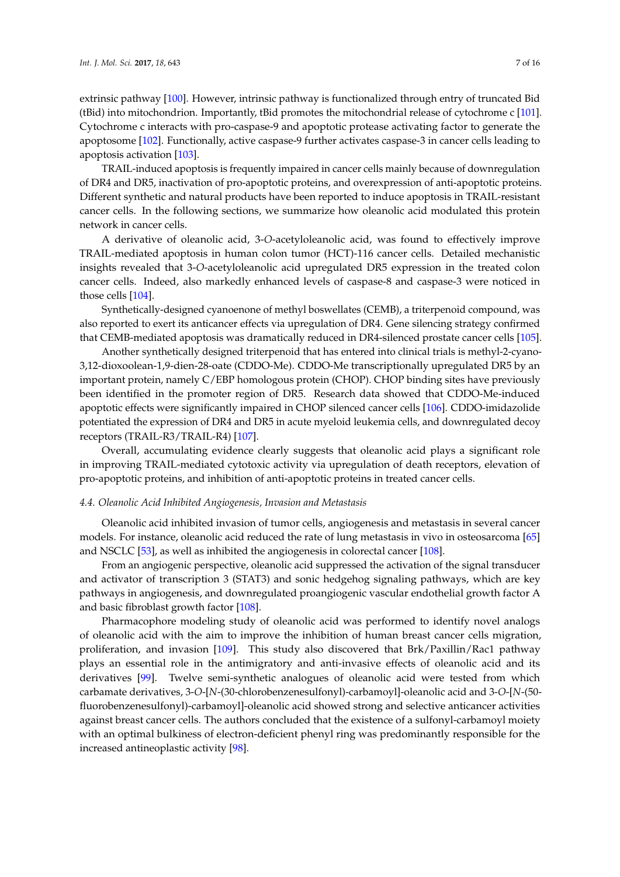extrinsic pathway [\[100\]](#page-14-1). However, intrinsic pathway is functionalized through entry of truncated Bid (tBid) into mitochondrion. Importantly, tBid promotes the mitochondrial release of cytochrome c [\[101\]](#page-14-2). Cytochrome c interacts with pro-caspase-9 and apoptotic protease activating factor to generate the apoptosome [\[102\]](#page-14-3). Functionally, active caspase-9 further activates caspase-3 in cancer cells leading to apoptosis activation [\[103\]](#page-14-4).

TRAIL-induced apoptosis is frequently impaired in cancer cells mainly because of downregulation of DR4 and DR5, inactivation of pro-apoptotic proteins, and overexpression of anti-apoptotic proteins. Different synthetic and natural products have been reported to induce apoptosis in TRAIL-resistant cancer cells. In the following sections, we summarize how oleanolic acid modulated this protein network in cancer cells.

A derivative of oleanolic acid, 3-*O*-acetyloleanolic acid, was found to effectively improve TRAIL-mediated apoptosis in human colon tumor (HCT)-116 cancer cells. Detailed mechanistic insights revealed that 3-*O*-acetyloleanolic acid upregulated DR5 expression in the treated colon cancer cells. Indeed, also markedly enhanced levels of caspase-8 and caspase-3 were noticed in those cells [\[104\]](#page-14-5).

Synthetically-designed cyanoenone of methyl boswellates (CEMB), a triterpenoid compound, was also reported to exert its anticancer effects via upregulation of DR4. Gene silencing strategy confirmed that CEMB-mediated apoptosis was dramatically reduced in DR4-silenced prostate cancer cells [\[105\]](#page-14-6).

Another synthetically designed triterpenoid that has entered into clinical trials is methyl-2-cyano-3,12-dioxoolean-1,9-dien-28-oate (CDDO-Me). CDDO-Me transcriptionally upregulated DR5 by an important protein, namely C/EBP homologous protein (CHOP). CHOP binding sites have previously been identified in the promoter region of DR5. Research data showed that CDDO-Me-induced apoptotic effects were significantly impaired in CHOP silenced cancer cells [\[106\]](#page-14-7). CDDO-imidazolide potentiated the expression of DR4 and DR5 in acute myeloid leukemia cells, and downregulated decoy receptors (TRAIL-R3/TRAIL-R4) [\[107\]](#page-14-8).

Overall, accumulating evidence clearly suggests that oleanolic acid plays a significant role in improving TRAIL-mediated cytotoxic activity via upregulation of death receptors, elevation of pro-apoptotic proteins, and inhibition of anti-apoptotic proteins in treated cancer cells.

# *4.4. Oleanolic Acid Inhibited Angiogenesis, Invasion and Metastasis*

Oleanolic acid inhibited invasion of tumor cells, angiogenesis and metastasis in several cancer models. For instance, oleanolic acid reduced the rate of lung metastasis in vivo in osteosarcoma [\[65\]](#page-12-5) and NSCLC [\[53\]](#page-11-10), as well as inhibited the angiogenesis in colorectal cancer [\[108\]](#page-14-9).

From an angiogenic perspective, oleanolic acid suppressed the activation of the signal transducer and activator of transcription 3 (STAT3) and sonic hedgehog signaling pathways, which are key pathways in angiogenesis, and downregulated proangiogenic vascular endothelial growth factor A and basic fibroblast growth factor [\[108\]](#page-14-9).

Pharmacophore modeling study of oleanolic acid was performed to identify novel analogs of oleanolic acid with the aim to improve the inhibition of human breast cancer cells migration, proliferation, and invasion [\[109\]](#page-14-10). This study also discovered that Brk/Paxillin/Rac1 pathway plays an essential role in the antimigratory and anti-invasive effects of oleanolic acid and its derivatives [\[99\]](#page-14-0). Twelve semi-synthetic analogues of oleanolic acid were tested from which carbamate derivatives, 3-*O*-[*N*-(30-chlorobenzenesulfonyl)-carbamoyl]-oleanolic acid and 3-*O*-[*N*-(50 fluorobenzenesulfonyl)-carbamoyl]-oleanolic acid showed strong and selective anticancer activities against breast cancer cells. The authors concluded that the existence of a sulfonyl-carbamoyl moiety with an optimal bulkiness of electron-deficient phenyl ring was predominantly responsible for the increased antineoplastic activity [\[98\]](#page-13-16).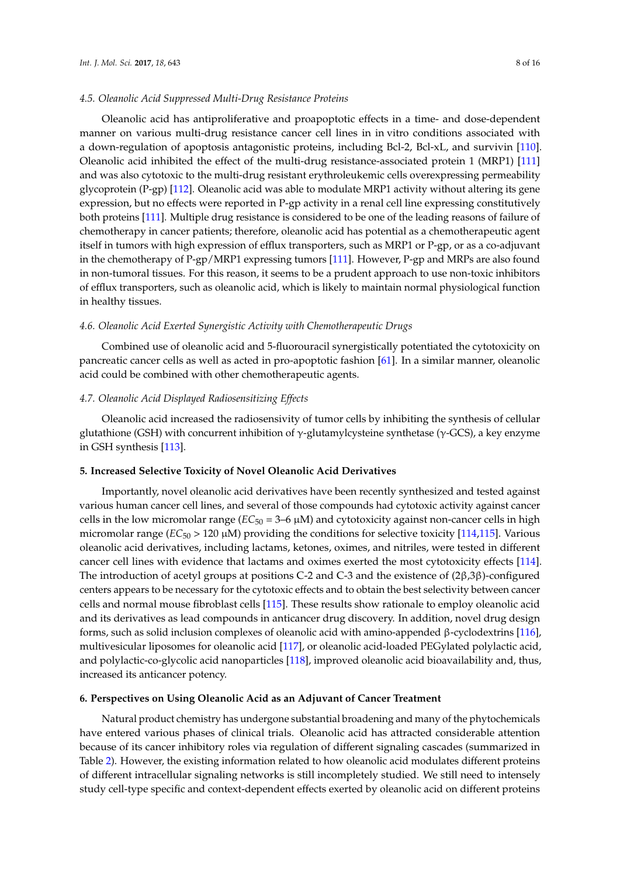Oleanolic acid has antiproliferative and proapoptotic effects in a time- and dose-dependent manner on various multi-drug resistance cancer cell lines in in vitro conditions associated with a down-regulation of apoptosis antagonistic proteins, including Bcl-2, Bcl-xL, and survivin [\[110\]](#page-14-11). Oleanolic acid inhibited the effect of the multi-drug resistance-associated protein 1 (MRP1) [\[111\]](#page-14-12) and was also cytotoxic to the multi-drug resistant erythroleukemic cells overexpressing permeability glycoprotein (P-gp) [\[112\]](#page-14-13). Oleanolic acid was able to modulate MRP1 activity without altering its gene expression, but no effects were reported in P-gp activity in a renal cell line expressing constitutively both proteins [\[111\]](#page-14-12). Multiple drug resistance is considered to be one of the leading reasons of failure of chemotherapy in cancer patients; therefore, oleanolic acid has potential as a chemotherapeutic agent itself in tumors with high expression of efflux transporters, such as MRP1 or P-gp, or as a co-adjuvant in the chemotherapy of P-gp/MRP1 expressing tumors [\[111\]](#page-14-12). However, P-gp and MRPs are also found in non-tumoral tissues. For this reason, it seems to be a prudent approach to use non-toxic inhibitors of efflux transporters, such as oleanolic acid, which is likely to maintain normal physiological function in healthy tissues.

### *4.6. Oleanolic Acid Exerted Synergistic Activity with Chemotherapeutic Drugs*

Combined use of oleanolic acid and 5-fluorouracil synergistically potentiated the cytotoxicity on pancreatic cancer cells as well as acted in pro-apoptotic fashion [\[61\]](#page-12-1). In a similar manner, oleanolic acid could be combined with other chemotherapeutic agents.

### *4.7. Oleanolic Acid Displayed Radiosensitizing Effects*

Oleanolic acid increased the radiosensivity of tumor cells by inhibiting the synthesis of cellular glutathione (GSH) with concurrent inhibition of  $γ$ -glutamylcysteine synthetase ( $γ$ -GCS), a key enzyme in GSH synthesis [\[113\]](#page-14-14).

# **5. Increased Selective Toxicity of Novel Oleanolic Acid Derivatives**

Importantly, novel oleanolic acid derivatives have been recently synthesized and tested against various human cancer cell lines, and several of those compounds had cytotoxic activity against cancer cells in the low micromolar range  $(EC_{50} = 3-6 \mu M)$  and cytotoxicity against non-cancer cells in high micromolar range  $(EC_{50} > 120 \mu M)$  providing the conditions for selective toxicity [\[114](#page-14-15)[,115\]](#page-14-16). Various oleanolic acid derivatives, including lactams, ketones, oximes, and nitriles, were tested in different cancer cell lines with evidence that lactams and oximes exerted the most cytotoxicity effects [\[114\]](#page-14-15). The introduction of acetyl groups at positions C-2 and C-3 and the existence of (2β,3β)-configured centers appears to be necessary for the cytotoxic effects and to obtain the best selectivity between cancer cells and normal mouse fibroblast cells [\[115\]](#page-14-16). These results show rationale to employ oleanolic acid and its derivatives as lead compounds in anticancer drug discovery. In addition, novel drug design forms, such as solid inclusion complexes of oleanolic acid with amino-appended β-cyclodextrins [\[116\]](#page-14-17), multivesicular liposomes for oleanolic acid [\[117\]](#page-15-0), or oleanolic acid-loaded PEGylated polylactic acid, and polylactic-co-glycolic acid nanoparticles [\[118\]](#page-15-1), improved oleanolic acid bioavailability and, thus, increased its anticancer potency.

## **6. Perspectives on Using Oleanolic Acid as an Adjuvant of Cancer Treatment**

Natural product chemistry has undergone substantial broadening and many of the phytochemicals have entered various phases of clinical trials. Oleanolic acid has attracted considerable attention because of its cancer inhibitory roles via regulation of different signaling cascades (summarized in Table [2\)](#page-8-0). However, the existing information related to how oleanolic acid modulates different proteins of different intracellular signaling networks is still incompletely studied. We still need to intensely study cell-type specific and context-dependent effects exerted by oleanolic acid on different proteins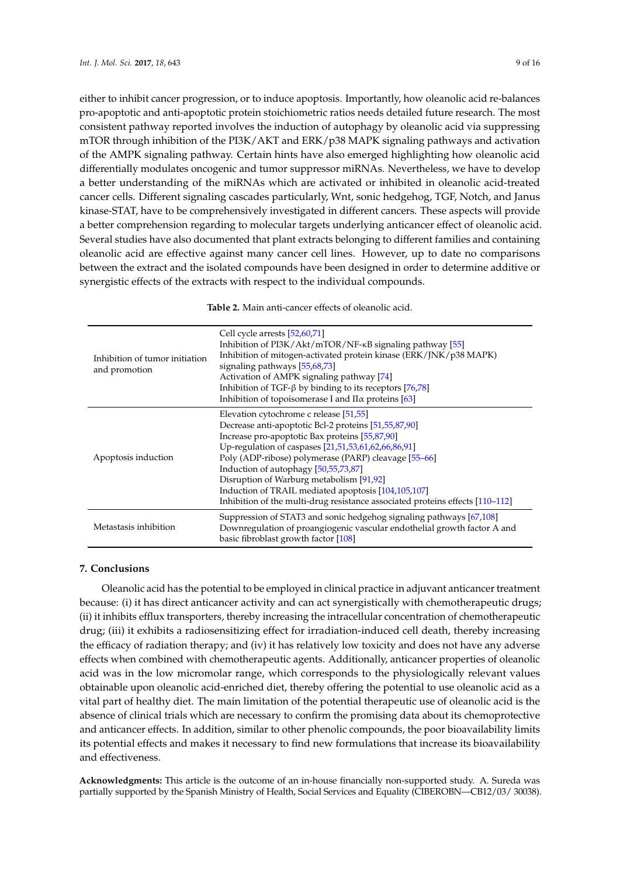either to inhibit cancer progression, or to induce apoptosis. Importantly, how oleanolic acid re-balances pro-apoptotic and anti-apoptotic protein stoichiometric ratios needs detailed future research. The most consistent pathway reported involves the induction of autophagy by oleanolic acid via suppressing mTOR through inhibition of the PI3K/AKT and ERK/p38 MAPK signaling pathways and activation of the AMPK signaling pathway. Certain hints have also emerged highlighting how oleanolic acid differentially modulates oncogenic and tumor suppressor miRNAs. Nevertheless, we have to develop a better understanding of the miRNAs which are activated or inhibited in oleanolic acid-treated cancer cells. Different signaling cascades particularly, Wnt, sonic hedgehog, TGF, Notch, and Janus kinase-STAT, have to be comprehensively investigated in different cancers. These aspects will provide a better comprehension regarding to molecular targets underlying anticancer effect of oleanolic acid. Several studies have also documented that plant extracts belonging to different families and containing oleanolic acid are effective against many cancer cell lines. However, up to date no comparisons between the extract and the isolated compounds have been designed in order to determine additive or synergistic effects of the extracts with respect to the individual compounds.

<span id="page-8-0"></span>

| Inhibition of tumor initiation<br>and promotion | Cell cycle arrests [52,60,71]<br>Inhibition of $PI3K/Akt/mTOR/NF-\kappa B$ signaling pathway [55]<br>Inhibition of mitogen-activated protein kinase (ERK/JNK/p38 MAPK)<br>signaling pathways [55,68,73]<br>Activation of AMPK signaling pathway [74]<br>Inhibition of TGF- $\beta$ by binding to its receptors [76,78]<br>Inhibition of topoisomerase I and II $\alpha$ proteins [63]                                                                                                       |
|-------------------------------------------------|---------------------------------------------------------------------------------------------------------------------------------------------------------------------------------------------------------------------------------------------------------------------------------------------------------------------------------------------------------------------------------------------------------------------------------------------------------------------------------------------|
| Apoptosis induction                             | Elevation cytochrome c release [51,55]<br>Decrease anti-apoptotic Bcl-2 proteins [51,55,87,90]<br>Increase pro-apoptotic Bax proteins [55,87,90]<br>Up-regulation of caspases [21,51,53,61,62,66,86,91]<br>Poly (ADP-ribose) polymerase (PARP) cleavage [55-66]<br>Induction of autophagy [50,55,73,87]<br>Disruption of Warburg metabolism [91,92]<br>Induction of TRAIL mediated apoptosis [104,105,107]<br>Inhibition of the multi-drug resistance associated proteins effects [110-112] |
| Metastasis inhibition                           | Suppression of STAT3 and sonic hedgehog signaling pathways [67,108]<br>Downregulation of proangiogenic vascular endothelial growth factor A and<br>basic fibroblast growth factor [108]                                                                                                                                                                                                                                                                                                     |

# **7. Conclusions**

Oleanolic acid has the potential to be employed in clinical practice in adjuvant anticancer treatment because: (i) it has direct anticancer activity and can act synergistically with chemotherapeutic drugs; (ii) it inhibits efflux transporters, thereby increasing the intracellular concentration of chemotherapeutic drug; (iii) it exhibits a radiosensitizing effect for irradiation-induced cell death, thereby increasing the efficacy of radiation therapy; and (iv) it has relatively low toxicity and does not have any adverse effects when combined with chemotherapeutic agents. Additionally, anticancer properties of oleanolic acid was in the low micromolar range, which corresponds to the physiologically relevant values obtainable upon oleanolic acid-enriched diet, thereby offering the potential to use oleanolic acid as a vital part of healthy diet. The main limitation of the potential therapeutic use of oleanolic acid is the absence of clinical trials which are necessary to confirm the promising data about its chemoprotective and anticancer effects. In addition, similar to other phenolic compounds, the poor bioavailability limits its potential effects and makes it necessary to find new formulations that increase its bioavailability and effectiveness.

**Acknowledgments:** This article is the outcome of an in-house financially non-supported study. A. Sureda was partially supported by the Spanish Ministry of Health, Social Services and Equality (CIBEROBN—CB12/03/ 30038).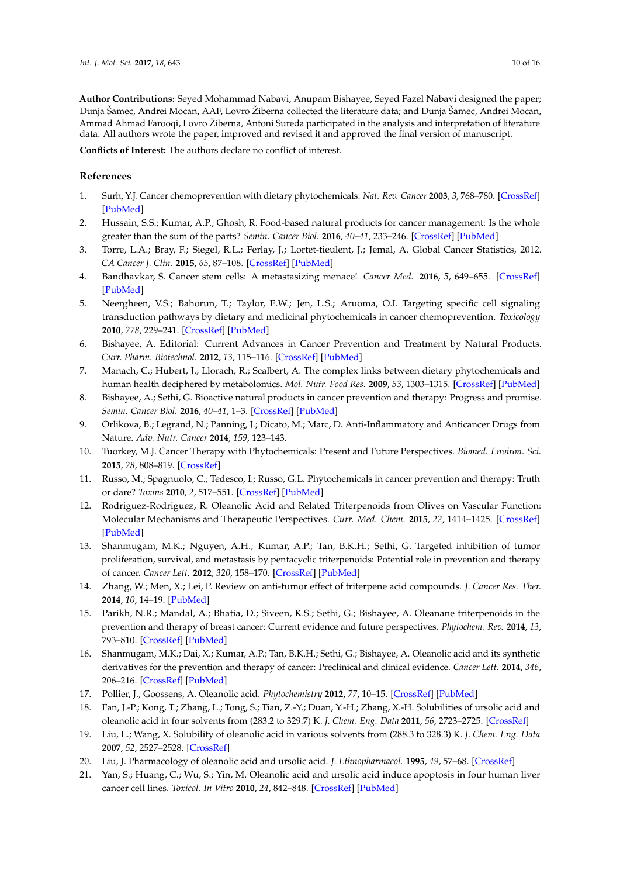**Author Contributions:** Seyed Mohammad Nabavi, Anupam Bishayee, Seyed Fazel Nabavi designed the paper; Dunja Šamec, Andrei Mocan, AAF, Lovro Žiberna collected the literature data; and Dunja Šamec, Andrei Mocan, Ammad Ahmad Farooqi, Lovro Žiberna, Antoni Sureda participated in the analysis and interpretation of literature data. All authors wrote the paper, improved and revised it and approved the final version of manuscript.

**Conflicts of Interest:** The authors declare no conflict of interest.

# **References**

- <span id="page-9-0"></span>1. Surh, Y.J. Cancer chemoprevention with dietary phytochemicals. *Nat. Rev. Cancer* **2003**, *3*, 768–780. [\[CrossRef\]](http://dx.doi.org/10.1038/nrc1189) [\[PubMed\]](http://www.ncbi.nlm.nih.gov/pubmed/14570043)
- <span id="page-9-1"></span>2. Hussain, S.S.; Kumar, A.P.; Ghosh, R. Food-based natural products for cancer management: Is the whole greater than the sum of the parts? *Semin. Cancer Biol.* **2016**, *40–41*, 233–246. [\[CrossRef\]](http://dx.doi.org/10.1016/j.semcancer.2016.06.002) [\[PubMed\]](http://www.ncbi.nlm.nih.gov/pubmed/27397504)
- <span id="page-9-2"></span>3. Torre, L.A.; Bray, F.; Siegel, R.L.; Ferlay, J.; Lortet-tieulent, J.; Jemal, A. Global Cancer Statistics, 2012. *CA Cancer J. Clin.* **2015**, *65*, 87–108. [\[CrossRef\]](http://dx.doi.org/10.3322/caac.21262) [\[PubMed\]](http://www.ncbi.nlm.nih.gov/pubmed/25651787)
- <span id="page-9-3"></span>4. Bandhavkar, S. Cancer stem cells: A metastasizing menace! *Cancer Med.* **2016**, *5*, 649–655. [\[CrossRef\]](http://dx.doi.org/10.1002/cam4.629) [\[PubMed\]](http://www.ncbi.nlm.nih.gov/pubmed/26773710)
- <span id="page-9-4"></span>5. Neergheen, V.S.; Bahorun, T.; Taylor, E.W.; Jen, L.S.; Aruoma, O.I. Targeting specific cell signaling transduction pathways by dietary and medicinal phytochemicals in cancer chemoprevention. *Toxicology* **2010**, *278*, 229–241. [\[CrossRef\]](http://dx.doi.org/10.1016/j.tox.2009.10.010) [\[PubMed\]](http://www.ncbi.nlm.nih.gov/pubmed/19850100)
- <span id="page-9-5"></span>6. Bishayee, A. Editorial: Current Advances in Cancer Prevention and Treatment by Natural Products. *Curr. Pharm. Biotechnol.* **2012**, *13*, 115–116. [\[CrossRef\]](http://dx.doi.org/10.2174/138920112798868629) [\[PubMed\]](http://www.ncbi.nlm.nih.gov/pubmed/21466439)
- <span id="page-9-7"></span>7. Manach, C.; Hubert, J.; Llorach, R.; Scalbert, A. The complex links between dietary phytochemicals and human health deciphered by metabolomics. *Mol. Nutr. Food Res.* **2009**, *53*, 1303–1315. [\[CrossRef\]](http://dx.doi.org/10.1002/mnfr.200800516) [\[PubMed\]](http://www.ncbi.nlm.nih.gov/pubmed/19764066)
- <span id="page-9-6"></span>8. Bishayee, A.; Sethi, G. Bioactive natural products in cancer prevention and therapy: Progress and promise. *Semin. Cancer Biol.* **2016**, *40–41*, 1–3. [\[CrossRef\]](http://dx.doi.org/10.1016/j.semcancer.2016.08.006) [\[PubMed\]](http://www.ncbi.nlm.nih.gov/pubmed/27565447)
- <span id="page-9-8"></span>9. Orlikova, B.; Legrand, N.; Panning, J.; Dicato, M.; Marc, D. Anti-Inflammatory and Anticancer Drugs from Nature. *Adv. Nutr. Cancer* **2014**, *159*, 123–143.
- <span id="page-9-9"></span>10. Tuorkey, M.J. Cancer Therapy with Phytochemicals: Present and Future Perspectives. *Biomed. Environ. Sci.* **2015**, *28*, 808–819. [\[CrossRef\]](http://dx.doi.org/10.1016/S0895-3988(15)30111-2)
- <span id="page-9-10"></span>11. Russo, M.; Spagnuolo, C.; Tedesco, I.; Russo, G.L. Phytochemicals in cancer prevention and therapy: Truth or dare? *Toxins* **2010**, *2*, 517–551. [\[CrossRef\]](http://dx.doi.org/10.3390/toxins2040517) [\[PubMed\]](http://www.ncbi.nlm.nih.gov/pubmed/22069598)
- <span id="page-9-11"></span>12. Rodriguez-Rodriguez, R. Oleanolic Acid and Related Triterpenoids from Olives on Vascular Function: Molecular Mechanisms and Therapeutic Perspectives. *Curr. Med. Chem.* **2015**, *22*, 1414–1425. [\[CrossRef\]](http://dx.doi.org/10.2174/0929867322666141212122921) [\[PubMed\]](http://www.ncbi.nlm.nih.gov/pubmed/25515513)
- 13. Shanmugam, M.K.; Nguyen, A.H.; Kumar, A.P.; Tan, B.K.H.; Sethi, G. Targeted inhibition of tumor proliferation, survival, and metastasis by pentacyclic triterpenoids: Potential role in prevention and therapy of cancer. *Cancer Lett.* **2012**, *320*, 158–170. [\[CrossRef\]](http://dx.doi.org/10.1016/j.canlet.2012.02.037) [\[PubMed\]](http://www.ncbi.nlm.nih.gov/pubmed/22406826)
- 14. Zhang, W.; Men, X.; Lei, P. Review on anti-tumor effect of triterpene acid compounds. *J. Cancer Res. Ther.* **2014**, *10*, 14–19. [\[PubMed\]](http://www.ncbi.nlm.nih.gov/pubmed/25207885)
- 15. Parikh, N.R.; Mandal, A.; Bhatia, D.; Siveen, K.S.; Sethi, G.; Bishayee, A. Oleanane triterpenoids in the prevention and therapy of breast cancer: Current evidence and future perspectives. *Phytochem. Rev.* **2014**, *13*, 793–810. [\[CrossRef\]](http://dx.doi.org/10.1007/s11101-014-9337-5) [\[PubMed\]](http://www.ncbi.nlm.nih.gov/pubmed/25395898)
- <span id="page-9-12"></span>16. Shanmugam, M.K.; Dai, X.; Kumar, A.P.; Tan, B.K.H.; Sethi, G.; Bishayee, A. Oleanolic acid and its synthetic derivatives for the prevention and therapy of cancer: Preclinical and clinical evidence. *Cancer Lett.* **2014**, *346*, 206–216. [\[CrossRef\]](http://dx.doi.org/10.1016/j.canlet.2014.01.016) [\[PubMed\]](http://www.ncbi.nlm.nih.gov/pubmed/24486850)
- <span id="page-9-13"></span>17. Pollier, J.; Goossens, A. Oleanolic acid. *Phytochemistry* **2012**, *77*, 10–15. [\[CrossRef\]](http://dx.doi.org/10.1016/j.phytochem.2011.12.022) [\[PubMed\]](http://www.ncbi.nlm.nih.gov/pubmed/22377690)
- <span id="page-9-14"></span>18. Fan, J.-P.; Kong, T.; Zhang, L.; Tong, S.; Tian, Z.-Y.; Duan, Y.-H.; Zhang, X.-H. Solubilities of ursolic acid and oleanolic acid in four solvents from (283.2 to 329.7) K. *J. Chem. Eng. Data* **2011**, *56*, 2723–2725. [\[CrossRef\]](http://dx.doi.org/10.1021/je101309a)
- <span id="page-9-15"></span>19. Liu, L.; Wang, X. Solubility of oleanolic acid in various solvents from (288.3 to 328.3) K. *J. Chem. Eng. Data* **2007**, *52*, 2527–2528. [\[CrossRef\]](http://dx.doi.org/10.1021/je700312r)
- <span id="page-9-16"></span>20. Liu, J. Pharmacology of oleanolic acid and ursolic acid. *J. Ethnopharmacol.* **1995**, *49*, 57–68. [\[CrossRef\]](http://dx.doi.org/10.1016/0378-8741(95)90032-2)
- <span id="page-9-17"></span>21. Yan, S.; Huang, C.; Wu, S.; Yin, M. Oleanolic acid and ursolic acid induce apoptosis in four human liver cancer cell lines. *Toxicol. In Vitro* **2010**, *24*, 842–848. [\[CrossRef\]](http://dx.doi.org/10.1016/j.tiv.2009.12.008) [\[PubMed\]](http://www.ncbi.nlm.nih.gov/pubmed/20005942)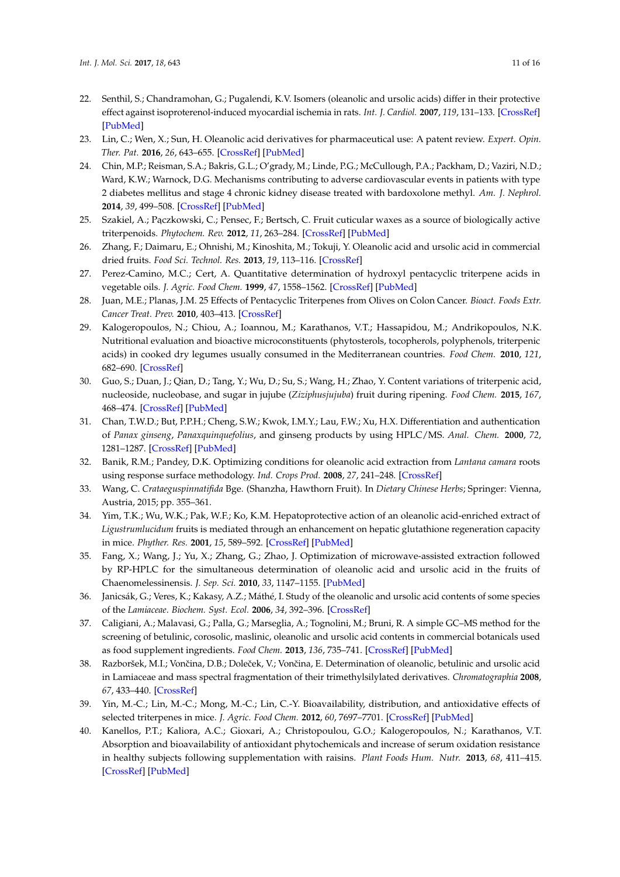- <span id="page-10-0"></span>22. Senthil, S.; Chandramohan, G.; Pugalendi, K.V. Isomers (oleanolic and ursolic acids) differ in their protective effect against isoproterenol-induced myocardial ischemia in rats. *Int. J. Cardiol.* **2007**, *119*, 131–133. [\[CrossRef\]](http://dx.doi.org/10.1016/j.ijcard.2006.07.108) [\[PubMed\]](http://www.ncbi.nlm.nih.gov/pubmed/17052790)
- <span id="page-10-1"></span>23. Lin, C.; Wen, X.; Sun, H. Oleanolic acid derivatives for pharmaceutical use: A patent review. *Expert. Opin. Ther. Pat.* **2016**, *26*, 643–655. [\[CrossRef\]](http://dx.doi.org/10.1080/13543776.2016.1182988) [\[PubMed\]](http://www.ncbi.nlm.nih.gov/pubmed/27113324)
- <span id="page-10-2"></span>24. Chin, M.P.; Reisman, S.A.; Bakris, G.L.; O'grady, M.; Linde, P.G.; McCullough, P.A.; Packham, D.; Vaziri, N.D.; Ward, K.W.; Warnock, D.G. Mechanisms contributing to adverse cardiovascular events in patients with type 2 diabetes mellitus and stage 4 chronic kidney disease treated with bardoxolone methyl. *Am. J. Nephrol.* **2014**, *39*, 499–508. [\[CrossRef\]](http://dx.doi.org/10.1159/000362906) [\[PubMed\]](http://www.ncbi.nlm.nih.gov/pubmed/24903467)
- <span id="page-10-3"></span>25. Szakiel, A.; Pączkowski, C.; Pensec, F.; Bertsch, C. Fruit cuticular waxes as a source of biologically active triterpenoids. *Phytochem. Rev.* **2012**, *11*, 263–284. [\[CrossRef\]](http://dx.doi.org/10.1007/s11101-012-9241-9) [\[PubMed\]](http://www.ncbi.nlm.nih.gov/pubmed/23519009)
- <span id="page-10-4"></span>26. Zhang, F.; Daimaru, E.; Ohnishi, M.; Kinoshita, M.; Tokuji, Y. Oleanolic acid and ursolic acid in commercial dried fruits. *Food Sci. Technol. Res.* **2013**, *19*, 113–116. [\[CrossRef\]](http://dx.doi.org/10.3136/fstr.19.113)
- <span id="page-10-5"></span>27. Perez-Camino, M.C.; Cert, A. Quantitative determination of hydroxyl pentacyclic triterpene acids in vegetable oils. *J. Agric. Food Chem.* **1999**, *47*, 1558–1562. [\[CrossRef\]](http://dx.doi.org/10.1021/jf980881h) [\[PubMed\]](http://www.ncbi.nlm.nih.gov/pubmed/10564016)
- <span id="page-10-6"></span>28. Juan, M.E.; Planas, J.M. 25 Effects of Pentacyclic Triterpenes from Olives on Colon Cancer. *Bioact. Foods Extr. Cancer Treat. Prev.* **2010**, 403–413. [\[CrossRef\]](http://dx.doi.org/10.1201/b10330-29)
- <span id="page-10-7"></span>29. Kalogeropoulos, N.; Chiou, A.; Ioannou, M.; Karathanos, V.T.; Hassapidou, M.; Andrikopoulos, N.K. Nutritional evaluation and bioactive microconstituents (phytosterols, tocopherols, polyphenols, triterpenic acids) in cooked dry legumes usually consumed in the Mediterranean countries. *Food Chem.* **2010**, *121*, 682–690. [\[CrossRef\]](http://dx.doi.org/10.1016/j.foodchem.2010.01.005)
- <span id="page-10-8"></span>30. Guo, S.; Duan, J.; Qian, D.; Tang, Y.; Wu, D.; Su, S.; Wang, H.; Zhao, Y. Content variations of triterpenic acid, nucleoside, nucleobase, and sugar in jujube (*Ziziphusjujuba*) fruit during ripening. *Food Chem.* **2015**, *167*, 468–474. [\[CrossRef\]](http://dx.doi.org/10.1016/j.foodchem.2014.07.013) [\[PubMed\]](http://www.ncbi.nlm.nih.gov/pubmed/25149013)
- <span id="page-10-9"></span>31. Chan, T.W.D.; But, P.P.H.; Cheng, S.W.; Kwok, I.M.Y.; Lau, F.W.; Xu, H.X. Differentiation and authentication of *Panax ginseng*, *Panaxquinquefolius*, and ginseng products by using HPLC/MS. *Anal. Chem.* **2000**, *72*, 1281–1287. [\[CrossRef\]](http://dx.doi.org/10.1021/ac990819z) [\[PubMed\]](http://www.ncbi.nlm.nih.gov/pubmed/10740871)
- <span id="page-10-10"></span>32. Banik, R.M.; Pandey, D.K. Optimizing conditions for oleanolic acid extraction from *Lantana camara* roots using response surface methodology. *Ind. Crops Prod.* **2008**, *27*, 241–248. [\[CrossRef\]](http://dx.doi.org/10.1016/j.indcrop.2007.09.004)
- <span id="page-10-11"></span>33. Wang, C. *Crataeguspinnatifida* Bge. (Shanzha, Hawthorn Fruit). In *Dietary Chinese Herbs*; Springer: Vienna, Austria, 2015; pp. 355–361.
- <span id="page-10-12"></span>34. Yim, T.K.; Wu, W.K.; Pak, W.F.; Ko, K.M. Hepatoprotective action of an oleanolic acid-enriched extract of *Ligustrumlucidum* fruits is mediated through an enhancement on hepatic glutathione regeneration capacity in mice. *Phyther. Res.* **2001**, *15*, 589–592. [\[CrossRef\]](http://dx.doi.org/10.1002/ptr.878) [\[PubMed\]](http://www.ncbi.nlm.nih.gov/pubmed/11746839)
- <span id="page-10-13"></span>35. Fang, X.; Wang, J.; Yu, X.; Zhang, G.; Zhao, J. Optimization of microwave-assisted extraction followed by RP-HPLC for the simultaneous determination of oleanolic acid and ursolic acid in the fruits of Chaenomelessinensis. *J. Sep. Sci.* **2010**, *33*, 1147–1155. [\[PubMed\]](http://www.ncbi.nlm.nih.gov/pubmed/20183824)
- <span id="page-10-14"></span>36. Janicsák, G.; Veres, K.; Kakasy, A.Z.; Máthé, I. Study of the oleanolic and ursolic acid contents of some species of the *Lamiaceae*. *Biochem. Syst. Ecol.* **2006**, *34*, 392–396. [\[CrossRef\]](http://dx.doi.org/10.1016/j.bse.2005.12.004)
- <span id="page-10-15"></span>37. Caligiani, A.; Malavasi, G.; Palla, G.; Marseglia, A.; Tognolini, M.; Bruni, R. A simple GC–MS method for the screening of betulinic, corosolic, maslinic, oleanolic and ursolic acid contents in commercial botanicals used as food supplement ingredients. *Food Chem.* **2013**, *136*, 735–741. [\[CrossRef\]](http://dx.doi.org/10.1016/j.foodchem.2012.08.011) [\[PubMed\]](http://www.ncbi.nlm.nih.gov/pubmed/23122121)
- <span id="page-10-16"></span>38. Razboršek, M.I.; Vončina, D.B.; Doleček, V.; Vončina, E. Determination of oleanolic, betulinic and ursolic acid in Lamiaceae and mass spectral fragmentation of their trimethylsilylated derivatives. *Chromatographia* **2008**, *67*, 433–440. [\[CrossRef\]](http://dx.doi.org/10.1365/s10337-008-0533-6)
- <span id="page-10-17"></span>39. Yin, M.-C.; Lin, M.-C.; Mong, M.-C.; Lin, C.-Y. Bioavailability, distribution, and antioxidative effects of selected triterpenes in mice. *J. Agric. Food Chem.* **2012**, *60*, 7697–7701. [\[CrossRef\]](http://dx.doi.org/10.1021/jf302529x) [\[PubMed\]](http://www.ncbi.nlm.nih.gov/pubmed/22816768)
- 40. Kanellos, P.T.; Kaliora, A.C.; Gioxari, A.; Christopoulou, G.O.; Kalogeropoulos, N.; Karathanos, V.T. Absorption and bioavailability of antioxidant phytochemicals and increase of serum oxidation resistance in healthy subjects following supplementation with raisins. *Plant Foods Hum. Nutr.* **2013**, *68*, 411–415. [\[CrossRef\]](http://dx.doi.org/10.1007/s11130-013-0389-2) [\[PubMed\]](http://www.ncbi.nlm.nih.gov/pubmed/24114059)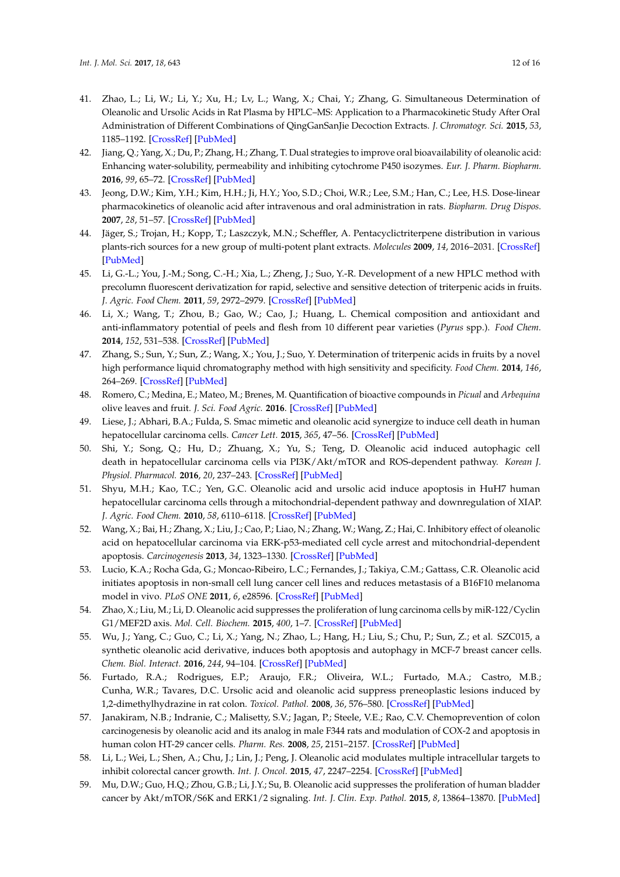- <span id="page-11-0"></span>41. Zhao, L.; Li, W.; Li, Y.; Xu, H.; Lv, L.; Wang, X.; Chai, Y.; Zhang, G. Simultaneous Determination of Oleanolic and Ursolic Acids in Rat Plasma by HPLC–MS: Application to a Pharmacokinetic Study After Oral Administration of Different Combinations of QingGanSanJie Decoction Extracts. *J. Chromatogr. Sci.* **2015**, *53*, 1185–1192. [\[CrossRef\]](http://dx.doi.org/10.1093/chromsci/bmu217) [\[PubMed\]](http://www.ncbi.nlm.nih.gov/pubmed/25662965)
- <span id="page-11-1"></span>42. Jiang, Q.; Yang, X.; Du, P.; Zhang, H.; Zhang, T. Dual strategies to improve oral bioavailability of oleanolic acid: Enhancing water-solubility, permeability and inhibiting cytochrome P450 isozymes. *Eur. J. Pharm. Biopharm.* **2016**, *99*, 65–72. [\[CrossRef\]](http://dx.doi.org/10.1016/j.ejpb.2015.11.013) [\[PubMed\]](http://www.ncbi.nlm.nih.gov/pubmed/26625716)
- <span id="page-11-2"></span>43. Jeong, D.W.; Kim, Y.H.; Kim, H.H.; Ji, H.Y.; Yoo, S.D.; Choi, W.R.; Lee, S.M.; Han, C.; Lee, H.S. Dose-linear pharmacokinetics of oleanolic acid after intravenous and oral administration in rats. *Biopharm. Drug Dispos.* **2007**, *28*, 51–57. [\[CrossRef\]](http://dx.doi.org/10.1002/bdd.530) [\[PubMed\]](http://www.ncbi.nlm.nih.gov/pubmed/17163409)
- <span id="page-11-3"></span>44. Jäger, S.; Trojan, H.; Kopp, T.; Laszczyk, M.N.; Scheffler, A. Pentacyclictriterpene distribution in various plants-rich sources for a new group of multi-potent plant extracts. *Molecules* **2009**, *14*, 2016–2031. [\[CrossRef\]](http://dx.doi.org/10.3390/molecules14062016) [\[PubMed\]](http://www.ncbi.nlm.nih.gov/pubmed/19513002)
- <span id="page-11-4"></span>45. Li, G.-L.; You, J.-M.; Song, C.-H.; Xia, L.; Zheng, J.; Suo, Y.-R. Development of a new HPLC method with precolumn fluorescent derivatization for rapid, selective and sensitive detection of triterpenic acids in fruits. *J. Agric. Food Chem.* **2011**, *59*, 2972–2979. [\[CrossRef\]](http://dx.doi.org/10.1021/jf104224t) [\[PubMed\]](http://www.ncbi.nlm.nih.gov/pubmed/21388126)
- <span id="page-11-5"></span>46. Li, X.; Wang, T.; Zhou, B.; Gao, W.; Cao, J.; Huang, L. Chemical composition and antioxidant and anti-inflammatory potential of peels and flesh from 10 different pear varieties (*Pyrus* spp.). *Food Chem.* **2014**, *152*, 531–538. [\[CrossRef\]](http://dx.doi.org/10.1016/j.foodchem.2013.12.010) [\[PubMed\]](http://www.ncbi.nlm.nih.gov/pubmed/24444971)
- <span id="page-11-6"></span>47. Zhang, S.; Sun, Y.; Sun, Z.; Wang, X.; You, J.; Suo, Y. Determination of triterpenic acids in fruits by a novel high performance liquid chromatography method with high sensitivity and specificity. *Food Chem.* **2014**, *146*, 264–269. [\[CrossRef\]](http://dx.doi.org/10.1016/j.foodchem.2013.09.056) [\[PubMed\]](http://www.ncbi.nlm.nih.gov/pubmed/24176341)
- <span id="page-11-7"></span>48. Romero, C.; Medina, E.; Mateo, M.; Brenes, M. Quantification of bioactive compounds in *Picual* and *Arbequina* olive leaves and fruit. *J. Sci. Food Agric.* **2016**. [\[CrossRef\]](http://dx.doi.org/10.1002/jsfa.7920) [\[PubMed\]](http://www.ncbi.nlm.nih.gov/pubmed/27447942)
- <span id="page-11-8"></span>49. Liese, J.; Abhari, B.A.; Fulda, S. Smac mimetic and oleanolic acid synergize to induce cell death in human hepatocellular carcinoma cells. *Cancer Lett.* **2015**, *365*, 47–56. [\[CrossRef\]](http://dx.doi.org/10.1016/j.canlet.2015.04.018) [\[PubMed\]](http://www.ncbi.nlm.nih.gov/pubmed/25917078)
- <span id="page-11-17"></span>50. Shi, Y.; Song, Q.; Hu, D.; Zhuang, X.; Yu, S.; Teng, D. Oleanolic acid induced autophagic cell death in hepatocellular carcinoma cells via PI3K/Akt/mTOR and ROS-dependent pathway. *Korean J. Physiol. Pharmacol.* **2016**, *20*, 237–243. [\[CrossRef\]](http://dx.doi.org/10.4196/kjpp.2016.20.3.237) [\[PubMed\]](http://www.ncbi.nlm.nih.gov/pubmed/27162477)
- <span id="page-11-16"></span>51. Shyu, M.H.; Kao, T.C.; Yen, G.C. Oleanolic acid and ursolic acid induce apoptosis in HuH7 human hepatocellular carcinoma cells through a mitochondrial-dependent pathway and downregulation of XIAP. *J. Agric. Food Chem.* **2010**, *58*, 6110–6118. [\[CrossRef\]](http://dx.doi.org/10.1021/jf100574j) [\[PubMed\]](http://www.ncbi.nlm.nih.gov/pubmed/20415421)
- <span id="page-11-9"></span>52. Wang, X.; Bai, H.; Zhang, X.; Liu, J.; Cao, P.; Liao, N.; Zhang, W.; Wang, Z.; Hai, C. Inhibitory effect of oleanolic acid on hepatocellular carcinoma via ERK-p53-mediated cell cycle arrest and mitochondrial-dependent apoptosis. *Carcinogenesis* **2013**, *34*, 1323–1330. [\[CrossRef\]](http://dx.doi.org/10.1093/carcin/bgt058) [\[PubMed\]](http://www.ncbi.nlm.nih.gov/pubmed/23404993)
- <span id="page-11-10"></span>53. Lucio, K.A.; Rocha Gda, G.; Moncao-Ribeiro, L.C.; Fernandes, J.; Takiya, C.M.; Gattass, C.R. Oleanolic acid initiates apoptosis in non-small cell lung cancer cell lines and reduces metastasis of a B16F10 melanoma model in vivo. *PLoS ONE* **2011**, *6*, e28596. [\[CrossRef\]](http://dx.doi.org/10.1371/journal.pone.0028596) [\[PubMed\]](http://www.ncbi.nlm.nih.gov/pubmed/22174843)
- <span id="page-11-11"></span>54. Zhao, X.; Liu, M.; Li, D. Oleanolic acid suppresses the proliferation of lung carcinoma cells by miR-122/Cyclin G1/MEF2D axis. *Mol. Cell. Biochem.* **2015**, *400*, 1–7. [\[CrossRef\]](http://dx.doi.org/10.1007/s11010-014-2228-7) [\[PubMed\]](http://www.ncbi.nlm.nih.gov/pubmed/25472877)
- <span id="page-11-12"></span>55. Wu, J.; Yang, C.; Guo, C.; Li, X.; Yang, N.; Zhao, L.; Hang, H.; Liu, S.; Chu, P.; Sun, Z.; et al. SZC015, a synthetic oleanolic acid derivative, induces both apoptosis and autophagy in MCF-7 breast cancer cells. *Chem. Biol. Interact.* **2016**, *244*, 94–104. [\[CrossRef\]](http://dx.doi.org/10.1016/j.cbi.2015.11.013) [\[PubMed\]](http://www.ncbi.nlm.nih.gov/pubmed/26612655)
- <span id="page-11-13"></span>56. Furtado, R.A.; Rodrigues, E.P.; Araujo, F.R.; Oliveira, W.L.; Furtado, M.A.; Castro, M.B.; Cunha, W.R.; Tavares, D.C. Ursolic acid and oleanolic acid suppress preneoplastic lesions induced by 1,2-dimethylhydrazine in rat colon. *Toxicol. Pathol.* **2008**, *36*, 576–580. [\[CrossRef\]](http://dx.doi.org/10.1177/0192623308317423) [\[PubMed\]](http://www.ncbi.nlm.nih.gov/pubmed/18467683)
- 57. Janakiram, N.B.; Indranie, C.; Malisetty, S.V.; Jagan, P.; Steele, V.E.; Rao, C.V. Chemoprevention of colon carcinogenesis by oleanolic acid and its analog in male F344 rats and modulation of COX-2 and apoptosis in human colon HT-29 cancer cells. *Pharm. Res.* **2008**, *25*, 2151–2157. [\[CrossRef\]](http://dx.doi.org/10.1007/s11095-008-9582-7) [\[PubMed\]](http://www.ncbi.nlm.nih.gov/pubmed/18408893)
- <span id="page-11-14"></span>58. Li, L.; Wei, L.; Shen, A.; Chu, J.; Lin, J.; Peng, J. Oleanolic acid modulates multiple intracellular targets to inhibit colorectal cancer growth. *Int. J. Oncol.* **2015**, *47*, 2247–2254. [\[CrossRef\]](http://dx.doi.org/10.3892/ijo.2015.3198) [\[PubMed\]](http://www.ncbi.nlm.nih.gov/pubmed/26459864)
- <span id="page-11-15"></span>59. Mu, D.W.; Guo, H.Q.; Zhou, G.B.; Li, J.Y.; Su, B. Oleanolic acid suppresses the proliferation of human bladder cancer by Akt/mTOR/S6K and ERK1/2 signaling. *Int. J. Clin. Exp. Pathol.* **2015**, *8*, 13864–13870. [\[PubMed\]](http://www.ncbi.nlm.nih.gov/pubmed/26823699)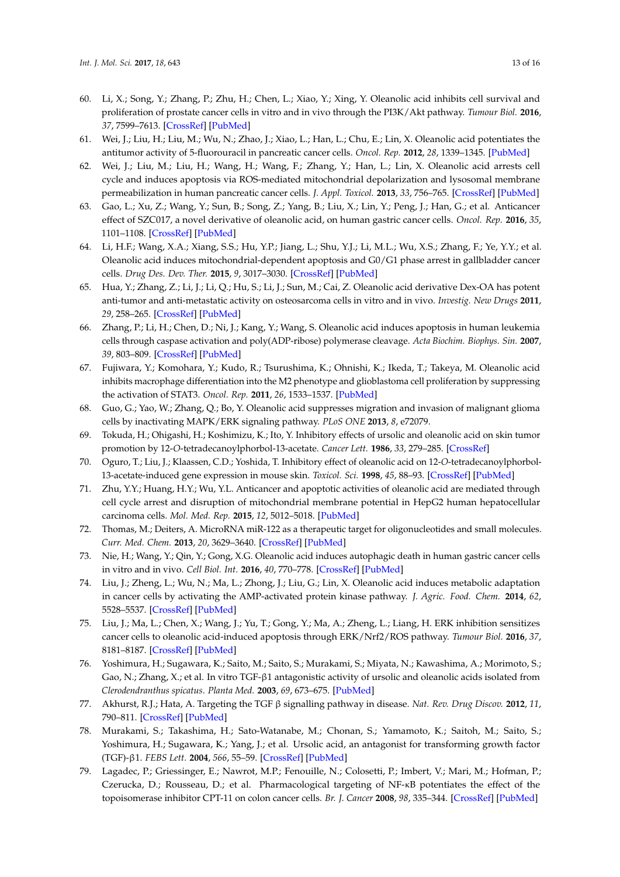- <span id="page-12-0"></span>60. Li, X.; Song, Y.; Zhang, P.; Zhu, H.; Chen, L.; Xiao, Y.; Xing, Y. Oleanolic acid inhibits cell survival and proliferation of prostate cancer cells in vitro and in vivo through the PI3K/Akt pathway. *Tumour Biol.* **2016**, *37*, 7599–7613. [\[CrossRef\]](http://dx.doi.org/10.1007/s13277-015-4655-9) [\[PubMed\]](http://www.ncbi.nlm.nih.gov/pubmed/26687646)
- <span id="page-12-1"></span>61. Wei, J.; Liu, H.; Liu, M.; Wu, N.; Zhao, J.; Xiao, L.; Han, L.; Chu, E.; Lin, X. Oleanolic acid potentiates the antitumor activity of 5-fluorouracil in pancreatic cancer cells. *Oncol. Rep.* **2012**, *28*, 1339–1345. [\[PubMed\]](http://www.ncbi.nlm.nih.gov/pubmed/22825128)
- <span id="page-12-2"></span>62. Wei, J.; Liu, M.; Liu, H.; Wang, H.; Wang, F.; Zhang, Y.; Han, L.; Lin, X. Oleanolic acid arrests cell cycle and induces apoptosis via ROS-mediated mitochondrial depolarization and lysosomal membrane permeabilization in human pancreatic cancer cells. *J. Appl. Toxicol.* **2013**, *33*, 756–765. [\[CrossRef\]](http://dx.doi.org/10.1002/jat.2725) [\[PubMed\]](http://www.ncbi.nlm.nih.gov/pubmed/22678527)
- <span id="page-12-3"></span>63. Gao, L.; Xu, Z.; Wang, Y.; Sun, B.; Song, Z.; Yang, B.; Liu, X.; Lin, Y.; Peng, J.; Han, G.; et al. Anticancer effect of SZC017, a novel derivative of oleanolic acid, on human gastric cancer cells. *Oncol. Rep.* **2016**, *35*, 1101–1108. [\[CrossRef\]](http://dx.doi.org/10.3892/or.2015.4447) [\[PubMed\]](http://www.ncbi.nlm.nih.gov/pubmed/26718492)
- <span id="page-12-4"></span>64. Li, H.F.; Wang, X.A.; Xiang, S.S.; Hu, Y.P.; Jiang, L.; Shu, Y.J.; Li, M.L.; Wu, X.S.; Zhang, F.; Ye, Y.Y.; et al. Oleanolic acid induces mitochondrial-dependent apoptosis and G0/G1 phase arrest in gallbladder cancer cells. *Drug Des. Dev. Ther.* **2015**, *9*, 3017–3030. [\[CrossRef\]](http://dx.doi.org/10.2147/DDDT.S84448) [\[PubMed\]](http://www.ncbi.nlm.nih.gov/pubmed/26109845)
- <span id="page-12-5"></span>65. Hua, Y.; Zhang, Z.; Li, J.; Li, Q.; Hu, S.; Li, J.; Sun, M.; Cai, Z. Oleanolic acid derivative Dex-OA has potent anti-tumor and anti-metastatic activity on osteosarcoma cells in vitro and in vivo. *Investig. New Drugs* **2011**, *29*, 258–265. [\[CrossRef\]](http://dx.doi.org/10.1007/s10637-009-9354-1) [\[PubMed\]](http://www.ncbi.nlm.nih.gov/pubmed/19943081)
- <span id="page-12-6"></span>66. Zhang, P.; Li, H.; Chen, D.; Ni, J.; Kang, Y.; Wang, S. Oleanolic acid induces apoptosis in human leukemia cells through caspase activation and poly(ADP-ribose) polymerase cleavage. *Acta Biochim. Biophys. Sin.* **2007**, *39*, 803–809. [\[CrossRef\]](http://dx.doi.org/10.1111/j.1745-7270.2007.00335.x) [\[PubMed\]](http://www.ncbi.nlm.nih.gov/pubmed/17928930)
- <span id="page-12-7"></span>67. Fujiwara, Y.; Komohara, Y.; Kudo, R.; Tsurushima, K.; Ohnishi, K.; Ikeda, T.; Takeya, M. Oleanolic acid inhibits macrophage differentiation into the M2 phenotype and glioblastoma cell proliferation by suppressing the activation of STAT3. *Oncol. Rep.* **2011**, *26*, 1533–1537. [\[PubMed\]](http://www.ncbi.nlm.nih.gov/pubmed/21922144)
- <span id="page-12-8"></span>68. Guo, G.; Yao, W.; Zhang, Q.; Bo, Y. Oleanolic acid suppresses migration and invasion of malignant glioma cells by inactivating MAPK/ERK signaling pathway. *PLoS ONE* **2013**, *8*, e72079.
- <span id="page-12-9"></span>69. Tokuda, H.; Ohigashi, H.; Koshimizu, K.; Ito, Y. Inhibitory effects of ursolic and oleanolic acid on skin tumor promotion by 12-*O*-tetradecanoylphorbol-13-acetate. *Cancer Lett.* **1986**, *33*, 279–285. [\[CrossRef\]](http://dx.doi.org/10.1016/0304-3835(86)90067-4)
- <span id="page-12-10"></span>70. Oguro, T.; Liu, J.; Klaassen, C.D.; Yoshida, T. Inhibitory effect of oleanolic acid on 12-*O*-tetradecanoylphorbol-13-acetate-induced gene expression in mouse skin. *Toxicol. Sci.* **1998**, *45*, 88–93. [\[CrossRef\]](http://dx.doi.org/10.1006/toxs.1998.2485) [\[PubMed\]](http://www.ncbi.nlm.nih.gov/pubmed/9848115)
- <span id="page-12-11"></span>71. Zhu, Y.Y.; Huang, H.Y.; Wu, Y.L. Anticancer and apoptotic activities of oleanolic acid are mediated through cell cycle arrest and disruption of mitochondrial membrane potential in HepG2 human hepatocellular carcinoma cells. *Mol. Med. Rep.* **2015**, *12*, 5012–5018. [\[PubMed\]](http://www.ncbi.nlm.nih.gov/pubmed/26151733)
- <span id="page-12-12"></span>72. Thomas, M.; Deiters, A. MicroRNA miR-122 as a therapeutic target for oligonucleotides and small molecules. *Curr. Med. Chem.* **2013**, *20*, 3629–3640. [\[CrossRef\]](http://dx.doi.org/10.2174/0929867311320290009) [\[PubMed\]](http://www.ncbi.nlm.nih.gov/pubmed/23745562)
- <span id="page-12-13"></span>73. Nie, H.; Wang, Y.; Qin, Y.; Gong, X.G. Oleanolic acid induces autophagic death in human gastric cancer cells in vitro and in vivo. *Cell Biol. Int.* **2016**, *40*, 770–778. [\[CrossRef\]](http://dx.doi.org/10.1002/cbin.10612) [\[PubMed\]](http://www.ncbi.nlm.nih.gov/pubmed/27079177)
- <span id="page-12-14"></span>74. Liu, J.; Zheng, L.; Wu, N.; Ma, L.; Zhong, J.; Liu, G.; Lin, X. Oleanolic acid induces metabolic adaptation in cancer cells by activating the AMP-activated protein kinase pathway. *J. Agric. Food. Chem.* **2014**, *62*, 5528–5537. [\[CrossRef\]](http://dx.doi.org/10.1021/jf500622p) [\[PubMed\]](http://www.ncbi.nlm.nih.gov/pubmed/24856665)
- <span id="page-12-15"></span>75. Liu, J.; Ma, L.; Chen, X.; Wang, J.; Yu, T.; Gong, Y.; Ma, A.; Zheng, L.; Liang, H. ERK inhibition sensitizes cancer cells to oleanolic acid-induced apoptosis through ERK/Nrf2/ROS pathway. *Tumour Biol.* **2016**, *37*, 8181–8187. [\[CrossRef\]](http://dx.doi.org/10.1007/s13277-015-4668-4) [\[PubMed\]](http://www.ncbi.nlm.nih.gov/pubmed/26715278)
- <span id="page-12-16"></span>76. Yoshimura, H.; Sugawara, K.; Saito, M.; Saito, S.; Murakami, S.; Miyata, N.; Kawashima, A.; Morimoto, S.; Gao, N.; Zhang, X.; et al. In vitro TGF-β1 antagonistic activity of ursolic and oleanolic acids isolated from *Clerodendranthus spicatus*. *Planta Med.* **2003**, *69*, 673–675. [\[PubMed\]](http://www.ncbi.nlm.nih.gov/pubmed/12898427)
- <span id="page-12-17"></span>77. Akhurst, R.J.; Hata, A. Targeting the TGF β signalling pathway in disease. *Nat. Rev. Drug Discov.* **2012**, *11*, 790–811. [\[CrossRef\]](http://dx.doi.org/10.1038/nrd3810) [\[PubMed\]](http://www.ncbi.nlm.nih.gov/pubmed/23000686)
- <span id="page-12-18"></span>78. Murakami, S.; Takashima, H.; Sato-Watanabe, M.; Chonan, S.; Yamamoto, K.; Saitoh, M.; Saito, S.; Yoshimura, H.; Sugawara, K.; Yang, J.; et al. Ursolic acid, an antagonist for transforming growth factor (TGF)-β1. *FEBS Lett.* **2004**, *566*, 55–59. [\[CrossRef\]](http://dx.doi.org/10.1016/j.febslet.2004.04.036) [\[PubMed\]](http://www.ncbi.nlm.nih.gov/pubmed/15147868)
- <span id="page-12-19"></span>79. Lagadec, P.; Griessinger, E.; Nawrot, M.P.; Fenouille, N.; Colosetti, P.; Imbert, V.; Mari, M.; Hofman, P.; Czerucka, D.; Rousseau, D.; et al. Pharmacological targeting of NF-κB potentiates the effect of the topoisomerase inhibitor CPT-11 on colon cancer cells. *Br. J. Cancer* **2008**, *98*, 335–344. [\[CrossRef\]](http://dx.doi.org/10.1038/sj.bjc.6604082) [\[PubMed\]](http://www.ncbi.nlm.nih.gov/pubmed/18182997)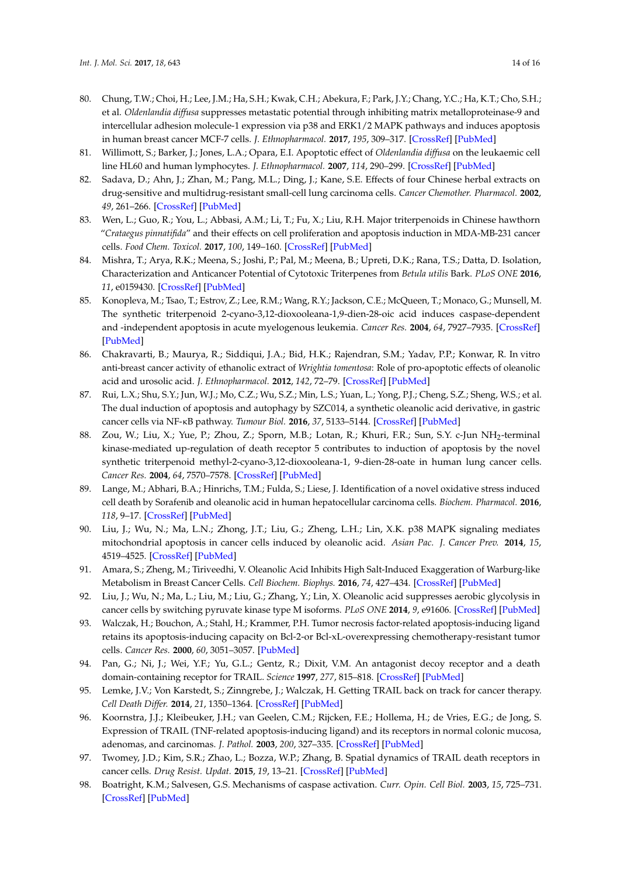- <span id="page-13-0"></span>80. Chung, T.W.; Choi, H.; Lee, J.M.; Ha, S.H.; Kwak, C.H.; Abekura, F.; Park, J.Y.; Chang, Y.C.; Ha, K.T.; Cho, S.H.; et al. *Oldenlandia diffusa* suppresses metastatic potential through inhibiting matrix metalloproteinase-9 and intercellular adhesion molecule-1 expression via p38 and ERK1/2 MAPK pathways and induces apoptosis in human breast cancer MCF-7 cells. *J. Ethnopharmacol.* **2017**, *195*, 309–317. [\[CrossRef\]](http://dx.doi.org/10.1016/j.jep.2016.11.036) [\[PubMed\]](http://www.ncbi.nlm.nih.gov/pubmed/27876502)
- 81. Willimott, S.; Barker, J.; Jones, L.A.; Opara, E.I. Apoptotic effect of *Oldenlandia diffusa* on the leukaemic cell line HL60 and human lymphocytes. *J. Ethnopharmacol.* **2007**, *114*, 290–299. [\[CrossRef\]](http://dx.doi.org/10.1016/j.jep.2007.08.030) [\[PubMed\]](http://www.ncbi.nlm.nih.gov/pubmed/17936528)
- <span id="page-13-1"></span>82. Sadava, D.; Ahn, J.; Zhan, M.; Pang, M.L.; Ding, J.; Kane, S.E. Effects of four Chinese herbal extracts on drug-sensitive and multidrug-resistant small-cell lung carcinoma cells. *Cancer Chemother. Pharmacol.* **2002**, *49*, 261–266. [\[CrossRef\]](http://dx.doi.org/10.1007/s00280-002-0427-5) [\[PubMed\]](http://www.ncbi.nlm.nih.gov/pubmed/11914903)
- <span id="page-13-2"></span>83. Wen, L.; Guo, R.; You, L.; Abbasi, A.M.; Li, T.; Fu, X.; Liu, R.H. Major triterpenoids in Chinese hawthorn "*Crataegus pinnatifida*" and their effects on cell proliferation and apoptosis induction in MDA-MB-231 cancer cells. *Food Chem. Toxicol.* **2017**, *100*, 149–160. [\[CrossRef\]](http://dx.doi.org/10.1016/j.fct.2016.12.032) [\[PubMed\]](http://www.ncbi.nlm.nih.gov/pubmed/28025124)
- <span id="page-13-3"></span>84. Mishra, T.; Arya, R.K.; Meena, S.; Joshi, P.; Pal, M.; Meena, B.; Upreti, D.K.; Rana, T.S.; Datta, D. Isolation, Characterization and Anticancer Potential of Cytotoxic Triterpenes from *Betula utilis* Bark. *PLoS ONE* **2016**, *11*, e0159430. [\[CrossRef\]](http://dx.doi.org/10.1371/journal.pone.0159430) [\[PubMed\]](http://www.ncbi.nlm.nih.gov/pubmed/27453990)
- <span id="page-13-4"></span>85. Konopleva, M.; Tsao, T.; Estrov, Z.; Lee, R.M.; Wang, R.Y.; Jackson, C.E.; McQueen, T.; Monaco, G.; Munsell, M. The synthetic triterpenoid 2-cyano-3,12-dioxooleana-1,9-dien-28-oic acid induces caspase-dependent and -independent apoptosis in acute myelogenous leukemia. *Cancer Res.* **2004**, *64*, 7927–7935. [\[CrossRef\]](http://dx.doi.org/10.1158/0008-5472.CAN-03-2402) [\[PubMed\]](http://www.ncbi.nlm.nih.gov/pubmed/15520199)
- <span id="page-13-5"></span>86. Chakravarti, B.; Maurya, R.; Siddiqui, J.A.; Bid, H.K.; Rajendran, S.M.; Yadav, P.P.; Konwar, R. In vitro anti-breast cancer activity of ethanolic extract of *Wrightia tomentosa*: Role of pro-apoptotic effects of oleanolic acid and urosolic acid. *J. Ethnopharmacol.* **2012**, *142*, 72–79. [\[CrossRef\]](http://dx.doi.org/10.1016/j.jep.2012.04.015) [\[PubMed\]](http://www.ncbi.nlm.nih.gov/pubmed/22855944)
- <span id="page-13-6"></span>87. Rui, L.X.; Shu, S.Y.; Jun, W.J.; Mo, C.Z.; Wu, S.Z.; Min, L.S.; Yuan, L.; Yong, P.J.; Cheng, S.Z.; Sheng, W.S.; et al. The dual induction of apoptosis and autophagy by SZC014, a synthetic oleanolic acid derivative, in gastric cancer cells via NF-κB pathway. *Tumour Biol.* **2016**, *37*, 5133–5144. [\[CrossRef\]](http://dx.doi.org/10.1007/s13277-015-4293-2) [\[PubMed\]](http://www.ncbi.nlm.nih.gov/pubmed/26547583)
- <span id="page-13-7"></span>88. Zou, W.; Liu, X.; Yue, P.; Zhou, Z.; Sporn, M.B.; Lotan, R.; Khuri, F.R.; Sun, S.Y. c-Jun NH<sub>2</sub>-terminal kinase-mediated up-regulation of death receptor 5 contributes to induction of apoptosis by the novel synthetic triterpenoid methyl-2-cyano-3,12-dioxooleana-1, 9-dien-28-oate in human lung cancer cells. *Cancer Res.* **2004**, *64*, 7570–7578. [\[CrossRef\]](http://dx.doi.org/10.1158/0008-5472.CAN-04-1238) [\[PubMed\]](http://www.ncbi.nlm.nih.gov/pubmed/15492284)
- <span id="page-13-8"></span>89. Lange, M.; Abhari, B.A.; Hinrichs, T.M.; Fulda, S.; Liese, J. Identification of a novel oxidative stress induced cell death by Sorafenib and oleanolic acid in human hepatocellular carcinoma cells. *Biochem. Pharmacol.* **2016**, *118*, 9–17. [\[CrossRef\]](http://dx.doi.org/10.1016/j.bcp.2016.08.011) [\[PubMed\]](http://www.ncbi.nlm.nih.gov/pubmed/27544320)
- <span id="page-13-9"></span>90. Liu, J.; Wu, N.; Ma, L.N.; Zhong, J.T.; Liu, G.; Zheng, L.H.; Lin, X.K. p38 MAPK signaling mediates mitochondrial apoptosis in cancer cells induced by oleanolic acid. *Asian Pac. J. Cancer Prev.* **2014**, *15*, 4519–4525. [\[CrossRef\]](http://dx.doi.org/10.7314/APJCP.2014.15.11.4519) [\[PubMed\]](http://www.ncbi.nlm.nih.gov/pubmed/24969879)
- <span id="page-13-10"></span>91. Amara, S.; Zheng, M.; Tiriveedhi, V. Oleanolic Acid Inhibits High Salt-Induced Exaggeration of Warburg-like Metabolism in Breast Cancer Cells. *Cell Biochem. Biophys.* **2016**, *74*, 427–434. [\[CrossRef\]](http://dx.doi.org/10.1007/s12013-016-0736-7) [\[PubMed\]](http://www.ncbi.nlm.nih.gov/pubmed/27236294)
- <span id="page-13-11"></span>92. Liu, J.; Wu, N.; Ma, L.; Liu, M.; Liu, G.; Zhang, Y.; Lin, X. Oleanolic acid suppresses aerobic glycolysis in cancer cells by switching pyruvate kinase type M isoforms. *PLoS ONE* **2014**, *9*, e91606. [\[CrossRef\]](http://dx.doi.org/10.1371/journal.pone.0091606) [\[PubMed\]](http://www.ncbi.nlm.nih.gov/pubmed/24626155)
- <span id="page-13-12"></span>93. Walczak, H.; Bouchon, A.; Stahl, H.; Krammer, P.H. Tumor necrosis factor-related apoptosis-inducing ligand retains its apoptosis-inducing capacity on Bcl-2-or Bcl-xL-overexpressing chemotherapy-resistant tumor cells. *Cancer Res.* **2000**, *60*, 3051–3057. [\[PubMed\]](http://www.ncbi.nlm.nih.gov/pubmed/10850456)
- 94. Pan, G.; Ni, J.; Wei, Y.F.; Yu, G.L.; Gentz, R.; Dixit, V.M. An antagonist decoy receptor and a death domain-containing receptor for TRAIL. *Science* **1997**, *277*, 815–818. [\[CrossRef\]](http://dx.doi.org/10.1126/science.277.5327.815) [\[PubMed\]](http://www.ncbi.nlm.nih.gov/pubmed/9242610)
- <span id="page-13-13"></span>95. Lemke, J.V.; Von Karstedt, S.; Zinngrebe, J.; Walczak, H. Getting TRAIL back on track for cancer therapy. *Cell Death Differ.* **2014**, *21*, 1350–1364. [\[CrossRef\]](http://dx.doi.org/10.1038/cdd.2014.81) [\[PubMed\]](http://www.ncbi.nlm.nih.gov/pubmed/24948009)
- <span id="page-13-14"></span>96. Koornstra, J.J.; Kleibeuker, J.H.; van Geelen, C.M.; Rijcken, F.E.; Hollema, H.; de Vries, E.G.; de Jong, S. Expression of TRAIL (TNF-related apoptosis-inducing ligand) and its receptors in normal colonic mucosa, adenomas, and carcinomas. *J. Pathol.* **2003**, *200*, 327–335. [\[CrossRef\]](http://dx.doi.org/10.1002/path.1364) [\[PubMed\]](http://www.ncbi.nlm.nih.gov/pubmed/12845629)
- <span id="page-13-15"></span>97. Twomey, J.D.; Kim, S.R.; Zhao, L.; Bozza, W.P.; Zhang, B. Spatial dynamics of TRAIL death receptors in cancer cells. *Drug Resist. Updat.* **2015**, *19*, 13–21. [\[CrossRef\]](http://dx.doi.org/10.1016/j.drup.2015.02.001) [\[PubMed\]](http://www.ncbi.nlm.nih.gov/pubmed/25840763)
- <span id="page-13-16"></span>98. Boatright, K.M.; Salvesen, G.S. Mechanisms of caspase activation. *Curr. Opin. Cell Biol.* **2003**, *15*, 725–731. [\[CrossRef\]](http://dx.doi.org/10.1016/j.ceb.2003.10.009) [\[PubMed\]](http://www.ncbi.nlm.nih.gov/pubmed/14644197)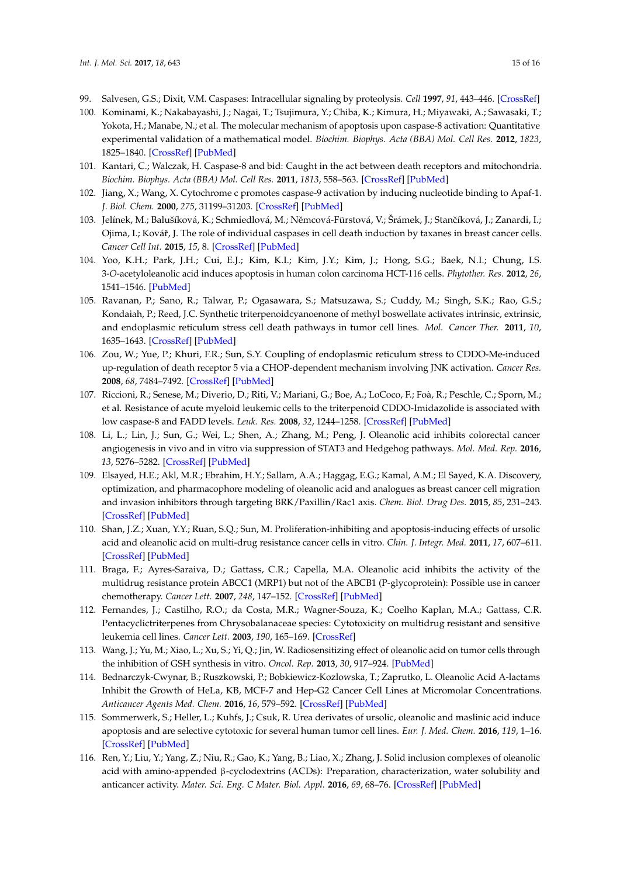- <span id="page-14-0"></span>99. Salvesen, G.S.; Dixit, V.M. Caspases: Intracellular signaling by proteolysis. *Cell* **1997**, *91*, 443–446. [\[CrossRef\]](http://dx.doi.org/10.1016/S0092-8674(00)80430-4)
- <span id="page-14-1"></span>100. Kominami, K.; Nakabayashi, J.; Nagai, T.; Tsujimura, Y.; Chiba, K.; Kimura, H.; Miyawaki, A.; Sawasaki, T.; Yokota, H.; Manabe, N.; et al. The molecular mechanism of apoptosis upon caspase-8 activation: Quantitative experimental validation of a mathematical model. *Biochim. Biophys. Acta (BBA) Mol. Cell Res.* **2012**, *1823*, 1825–1840. [\[CrossRef\]](http://dx.doi.org/10.1016/j.bbamcr.2012.07.003) [\[PubMed\]](http://www.ncbi.nlm.nih.gov/pubmed/22801217)
- <span id="page-14-2"></span>101. Kantari, C.; Walczak, H. Caspase-8 and bid: Caught in the act between death receptors and mitochondria. *Biochim. Biophys. Acta (BBA) Mol. Cell Res.* **2011**, *1813*, 558–563. [\[CrossRef\]](http://dx.doi.org/10.1016/j.bbamcr.2011.01.026) [\[PubMed\]](http://www.ncbi.nlm.nih.gov/pubmed/21295084)
- <span id="page-14-3"></span>102. Jiang, X.; Wang, X. Cytochrome c promotes caspase-9 activation by inducing nucleotide binding to Apaf-1. *J. Biol. Chem.* **2000**, *275*, 31199–31203. [\[CrossRef\]](http://dx.doi.org/10.1074/jbc.C000405200) [\[PubMed\]](http://www.ncbi.nlm.nih.gov/pubmed/10940292)
- <span id="page-14-4"></span>103. Jelínek, M.; Balušíková, K.; Schmiedlová, M.; Němcová-Fürstová, V.; Šrámek, J.; Stančíková, J.; Zanardi, I.; Ojima, I.; Kovář, J. The role of individual caspases in cell death induction by taxanes in breast cancer cells. *Cancer Cell Int.* **2015**, *15*, 8. [\[CrossRef\]](http://dx.doi.org/10.1186/s12935-015-0155-7) [\[PubMed\]](http://www.ncbi.nlm.nih.gov/pubmed/25685064)
- <span id="page-14-5"></span>104. Yoo, K.H.; Park, J.H.; Cui, E.J.; Kim, K.I.; Kim, J.Y.; Kim, J.; Hong, S.G.; Baek, N.I.; Chung, I.S. 3-*O*-acetyloleanolic acid induces apoptosis in human colon carcinoma HCT-116 cells. *Phytother. Res.* **2012**, *26*, 1541–1546. [\[PubMed\]](http://www.ncbi.nlm.nih.gov/pubmed/22359244)
- <span id="page-14-6"></span>105. Ravanan, P.; Sano, R.; Talwar, P.; Ogasawara, S.; Matsuzawa, S.; Cuddy, M.; Singh, S.K.; Rao, G.S.; Kondaiah, P.; Reed, J.C. Synthetic triterpenoidcyanoenone of methyl boswellate activates intrinsic, extrinsic, and endoplasmic reticulum stress cell death pathways in tumor cell lines. *Mol. Cancer Ther.* **2011**, *10*, 1635–1643. [\[CrossRef\]](http://dx.doi.org/10.1158/1535-7163.MCT-10-0887) [\[PubMed\]](http://www.ncbi.nlm.nih.gov/pubmed/21746806)
- <span id="page-14-7"></span>106. Zou, W.; Yue, P.; Khuri, F.R.; Sun, S.Y. Coupling of endoplasmic reticulum stress to CDDO-Me-induced up-regulation of death receptor 5 via a CHOP-dependent mechanism involving JNK activation. *Cancer Res.* **2008**, *68*, 7484–7492. [\[CrossRef\]](http://dx.doi.org/10.1158/0008-5472.CAN-08-1318) [\[PubMed\]](http://www.ncbi.nlm.nih.gov/pubmed/18794136)
- <span id="page-14-8"></span>107. Riccioni, R.; Senese, M.; Diverio, D.; Riti, V.; Mariani, G.; Boe, A.; LoCoco, F.; Foà, R.; Peschle, C.; Sporn, M.; et al. Resistance of acute myeloid leukemic cells to the triterpenoid CDDO-Imidazolide is associated with low caspase-8 and FADD levels. *Leuk. Res.* **2008**, *32*, 1244–1258. [\[CrossRef\]](http://dx.doi.org/10.1016/j.leukres.2007.12.008) [\[PubMed\]](http://www.ncbi.nlm.nih.gov/pubmed/18304628)
- <span id="page-14-9"></span>108. Li, L.; Lin, J.; Sun, G.; Wei, L.; Shen, A.; Zhang, M.; Peng, J. Oleanolic acid inhibits colorectal cancer angiogenesis in vivo and in vitro via suppression of STAT3 and Hedgehog pathways. *Mol. Med. Rep.* **2016**, *13*, 5276–5282. [\[CrossRef\]](http://dx.doi.org/10.3892/mmr.2016.5171) [\[PubMed\]](http://www.ncbi.nlm.nih.gov/pubmed/27108756)
- <span id="page-14-10"></span>109. Elsayed, H.E.; Akl, M.R.; Ebrahim, H.Y.; Sallam, A.A.; Haggag, E.G.; Kamal, A.M.; El Sayed, K.A. Discovery, optimization, and pharmacophore modeling of oleanolic acid and analogues as breast cancer cell migration and invasion inhibitors through targeting BRK/Paxillin/Rac1 axis. *Chem. Biol. Drug Des.* **2015**, *85*, 231–243. [\[CrossRef\]](http://dx.doi.org/10.1111/cbdd.12380) [\[PubMed\]](http://www.ncbi.nlm.nih.gov/pubmed/24954090)
- <span id="page-14-11"></span>110. Shan, J.Z.; Xuan, Y.Y.; Ruan, S.Q.; Sun, M. Proliferation-inhibiting and apoptosis-inducing effects of ursolic acid and oleanolic acid on multi-drug resistance cancer cells in vitro. *Chin. J. Integr. Med.* **2011**, *17*, 607–611. [\[CrossRef\]](http://dx.doi.org/10.1007/s11655-011-0815-y) [\[PubMed\]](http://www.ncbi.nlm.nih.gov/pubmed/21826595)
- <span id="page-14-12"></span>111. Braga, F.; Ayres-Saraiva, D.; Gattass, C.R.; Capella, M.A. Oleanolic acid inhibits the activity of the multidrug resistance protein ABCC1 (MRP1) but not of the ABCB1 (P-glycoprotein): Possible use in cancer chemotherapy. *Cancer Lett.* **2007**, *248*, 147–152. [\[CrossRef\]](http://dx.doi.org/10.1016/j.canlet.2006.06.008) [\[PubMed\]](http://www.ncbi.nlm.nih.gov/pubmed/16889888)
- <span id="page-14-13"></span>112. Fernandes, J.; Castilho, R.O.; da Costa, M.R.; Wagner-Souza, K.; Coelho Kaplan, M.A.; Gattass, C.R. Pentacyclictriterpenes from Chrysobalanaceae species: Cytotoxicity on multidrug resistant and sensitive leukemia cell lines. *Cancer Lett.* **2003**, *190*, 165–169. [\[CrossRef\]](http://dx.doi.org/10.1016/S0304-3835(02)00593-1)
- <span id="page-14-14"></span>113. Wang, J.; Yu, M.; Xiao, L.; Xu, S.; Yi, Q.; Jin, W. Radiosensitizing effect of oleanolic acid on tumor cells through the inhibition of GSH synthesis in vitro. *Oncol. Rep.* **2013**, *30*, 917–924. [\[PubMed\]](http://www.ncbi.nlm.nih.gov/pubmed/23727952)
- <span id="page-14-15"></span>114. Bednarczyk-Cwynar, B.; Ruszkowski, P.; Bobkiewicz-Kozlowska, T.; Zaprutko, L. Oleanolic Acid A-lactams Inhibit the Growth of HeLa, KB, MCF-7 and Hep-G2 Cancer Cell Lines at Micromolar Concentrations. *Anticancer Agents Med. Chem.* **2016**, *16*, 579–592. [\[CrossRef\]](http://dx.doi.org/10.2174/1871520615666150907095756) [\[PubMed\]](http://www.ncbi.nlm.nih.gov/pubmed/26343139)
- <span id="page-14-16"></span>115. Sommerwerk, S.; Heller, L.; Kuhfs, J.; Csuk, R. Urea derivates of ursolic, oleanolic and maslinic acid induce apoptosis and are selective cytotoxic for several human tumor cell lines. *Eur. J. Med. Chem.* **2016**, *119*, 1–16. [\[CrossRef\]](http://dx.doi.org/10.1016/j.ejmech.2016.04.051) [\[PubMed\]](http://www.ncbi.nlm.nih.gov/pubmed/27149037)
- <span id="page-14-17"></span>116. Ren, Y.; Liu, Y.; Yang, Z.; Niu, R.; Gao, K.; Yang, B.; Liao, X.; Zhang, J. Solid inclusion complexes of oleanolic acid with amino-appended β-cyclodextrins (ACDs): Preparation, characterization, water solubility and anticancer activity. *Mater. Sci. Eng. C Mater. Biol. Appl.* **2016**, *69*, 68–76. [\[CrossRef\]](http://dx.doi.org/10.1016/j.msec.2016.05.022) [\[PubMed\]](http://www.ncbi.nlm.nih.gov/pubmed/27612690)